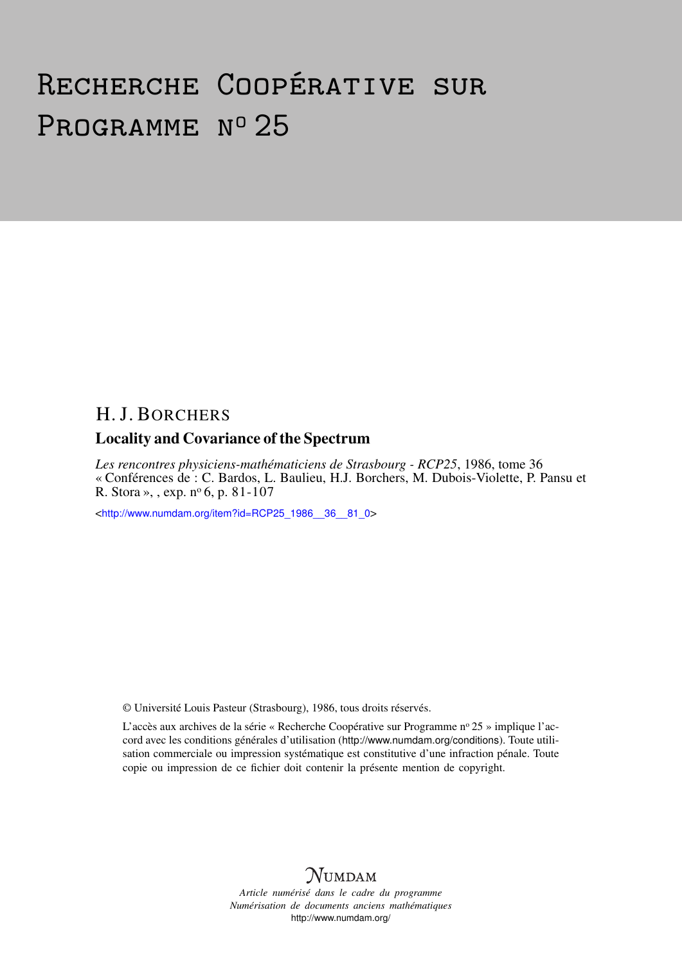# Recherche Coopérative sur PROGRAMME Nº 25

## H. J. BORCHERS

### Locality and Covariance of the Spectrum

*Les rencontres physiciens-mathématiciens de Strasbourg - RCP25*, 1986, tome 36 « Conférences de : C. Bardos, L. Baulieu, H.J. Borchers, M. Dubois-Violette, P. Pansu et R. Stora », , exp.  $n^{\circ}$  6, p. 81-107

<[http://www.numdam.org/item?id=RCP25\\_1986\\_\\_36\\_\\_81\\_0](http://www.numdam.org/item?id=RCP25_1986__36__81_0)>

© Université Louis Pasteur (Strasbourg), 1986, tous droits réservés.

L'accès aux archives de la série « Recherche Coopérative sur Programme nº 25 » implique l'accord avec les conditions générales d'utilisation (<http://www.numdam.org/conditions>). Toute utilisation commerciale ou impression systématique est constitutive d'une infraction pénale. Toute copie ou impression de ce fichier doit contenir la présente mention de copyright.



*Article numérisé dans le cadre du programme Numérisation de documents anciens mathématiques* <http://www.numdam.org/>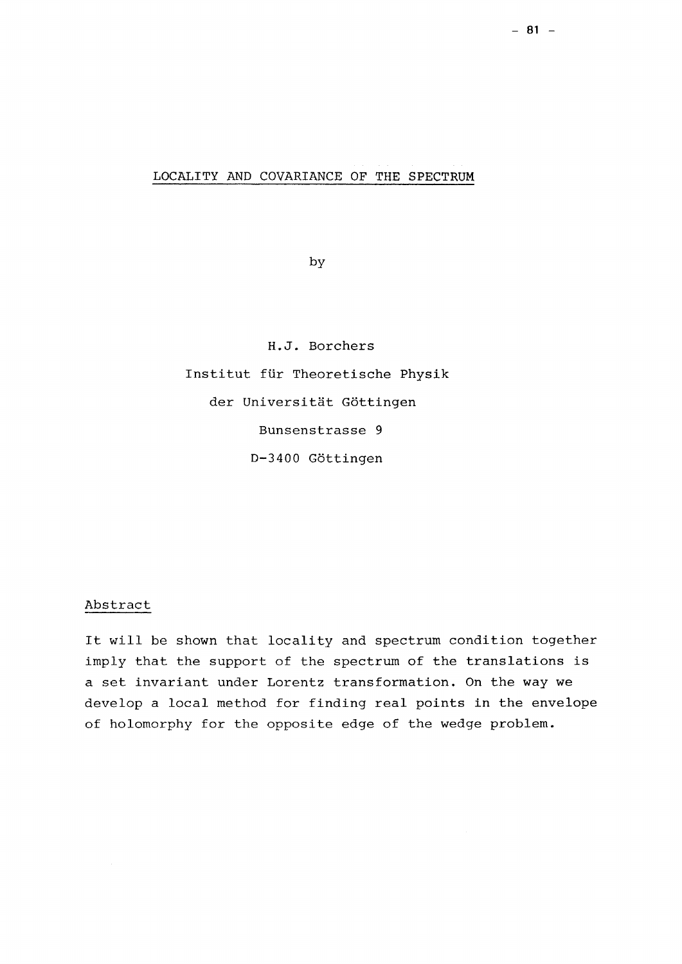### LOCALITY AND COVARIANCE OF THE SPECTRUM

by

H.J. Borchers Institut für Theoretische Physik der Universität Göttingen Bunsenstrasse 9 D-3400 Göttingen

### Abstract

It will be shown that locality and spectrum condition together imply that the support of the spectrum of the translations is a set invariant under Lorentz transformation. On the way we develop a local method for finding real points in the envelope of holomorphy for the opposite edge of the wedge problem.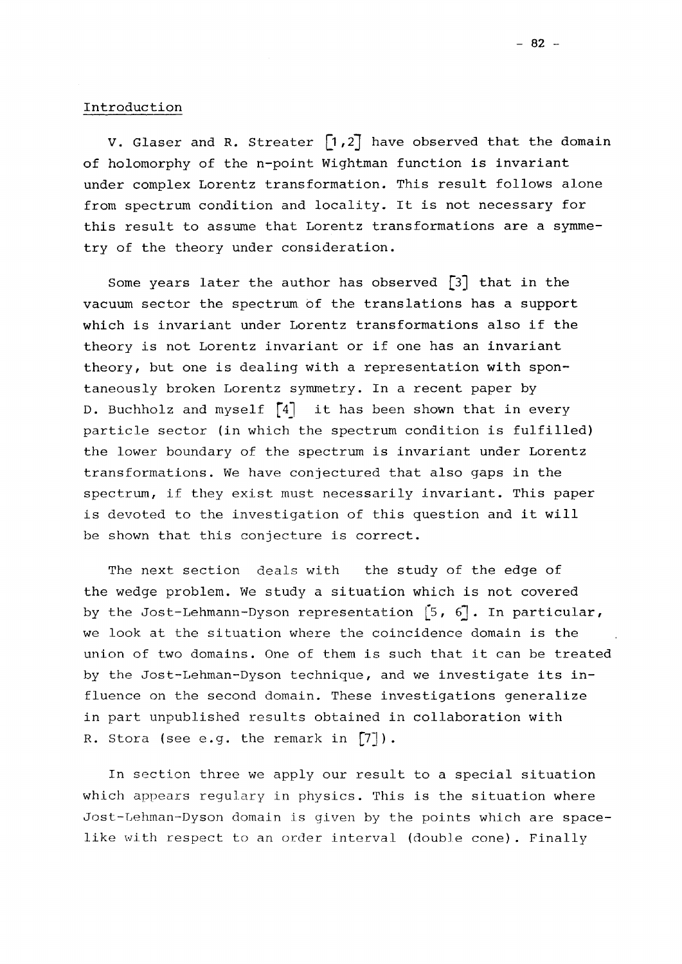V. Glaser and R. Streater  $\lceil 1,2 \rceil$  have observed that the domain of holomorphy of the n-point Wightman function is invariant under complex Lorentz transformation. This result follows alone from spectrum condition and locality. It is not necessary for this result to assume that Lorentz transformations are a symmetry of the theory under consideration.

Some years later the author has observed  $\begin{bmatrix} 3 \end{bmatrix}$  that in the vacuum sector the spectrum of the translations has a support which is invariant under Lorentz transformations also if the theory is not Lorentz invariant or if one has an invariant theory, but one is dealing with a representation with spontaneously broken Lorentz symmetry. In a recent paper by D. Buchholz and myself  $\lceil 4 \rceil$  it has been shown that in every particle sector (in which the spectrum condition is fulfilled) the lower boundary of the spectrum is invariant under Lorentz transformations. We have conjectured that also gaps in the spectrum, if they exist must necessarily invariant. This paper is devoted to the investigation of this question and it will be shown that this conjecture is correct.

The next section deals with the study of the edge of the wedge problem. We study a situation which is not covered by the Jost-Lehmann-Dyson representation  $[5, 6]$ . In particular, we look, at the situation where the coincidence domain is the union of two domains. One of them is such that it can be treated by the Jost-Lehman-Dyson technique, and we investigate its influence on the second domain. These investigations generalize in part unpublished results obtained in collaboration with R. Stora (see e.g. the remark in [7]).

In section three we apply our result to a special situation which appears regulary in physics. This is the situation where Jost-Lehman-Dyson domain is given by the points which are spacelike with respect to an order interval (double cone). Finally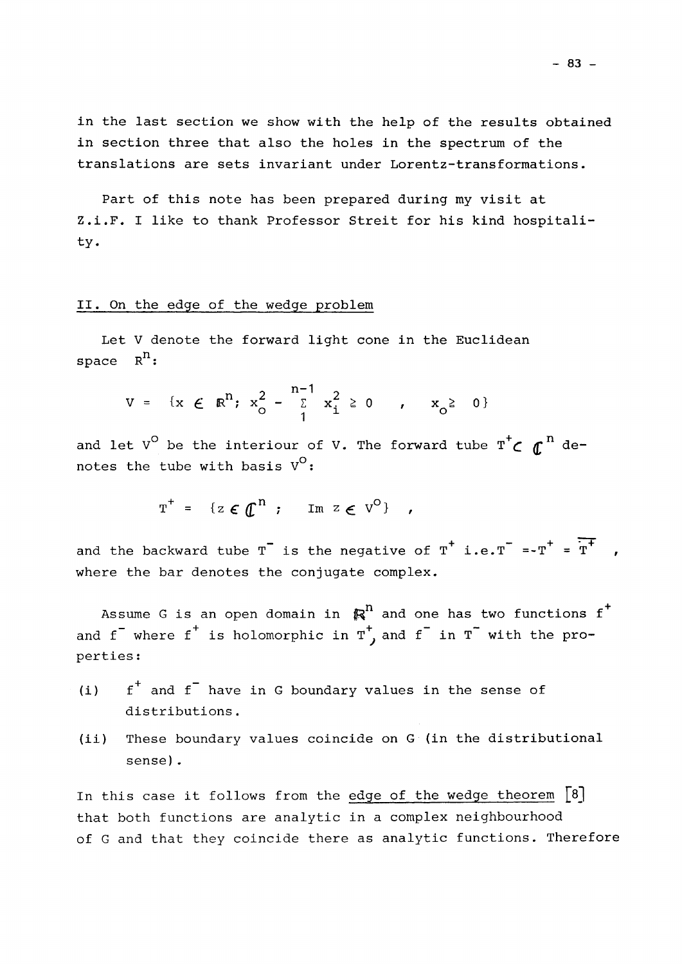in the last section we show with the help of the results obtained in section three that also the holes in the spectrum of the translations are sets invariant under Lorentz-transformations.

Part of this note has been prepared during my visit at Z.i.F. I like to thank Professor Streit for his kind hospitality.

### II. On the edge of the wedge problem

Let V denote the forward light cone in the Euclidean space  $R^n$ :

$$
V = \{x \in \mathbb{R}^{n}; x_{0}^{2} - \sum_{1}^{n-1} x_{i}^{2} \ge 0 \quad , \quad x_{0}^{2} \ge 0 \}
$$

and let V<sup>O</sup> be the interiour of V. The forward tube  $T^{\dagger}$   $\boldsymbol{\zeta}$   $T^{\dagger}$  denotes the tube with basis  $V^{O}$ :

$$
T^+ = \{ z \in \mathbb{C}^n ; \quad \text{Im } z \in V^O \} ,
$$

and the backward tube T is the negative of T  $i.e.T = -T$  = T  $,$ where the bar denotes the conjugate complex.

Assume G is an open domain in  $\mathbb{R}^n$  and one has two functions  $f^+$  $\overline{f}$  , where  $\overline{f}$  is bolomorphic in  $\overline{f}$  and  $\overline{f}$  in  $\overline{f}$ and I where I is notomorphic in I and I in I with the properties :

- (i)  $f^+$  and  $f^-$  have in G boundary values in the sense of distributions .
- (ii) These boundary values coincide on G (in the distributional sense).

In this case it follows from the edge of the wedge theorem  $\lceil 8 \rceil$ that both functions are analytic in a complex neighbourhood of G and that they coincide there as analytic functions. Therefore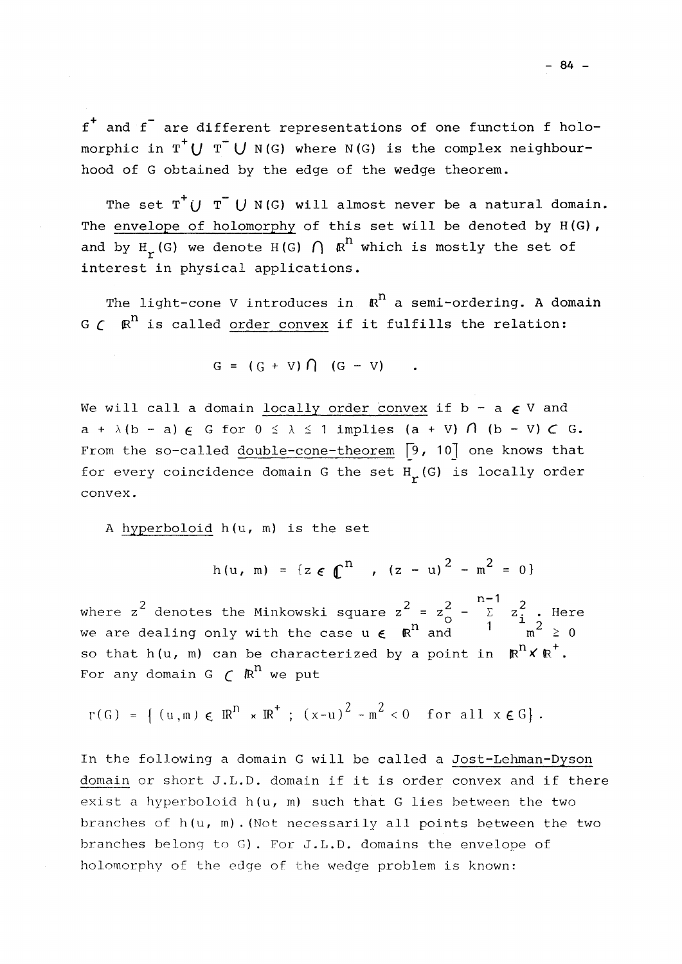f + and f are different representations of one function f holomorphic in  $T^{\dagger}$ (*J*  $T^{\dagger}$  *U* N(G) where N(G) is the complex neighbourhood of G obtained by the edge of the wedge theorem.

The set  $T^{\top}$  $\bigcup$   $T^{\top}$   $\bigcup$   $N(G)$  will almost never be a natural domain. The envelope of holomorphy of this set will be denoted by H(G), and by  $H_r(G)$  we denote  $H(G)$   $\bigcap$   $\mathbb{R}^n$  which is mostly the set of interest in physical applications.

The light-cone V introduces in  $\mathbb{R}^n$  a semi-ordering. A domain  $G \subset \mathbb{R}^n$  is called order convex if it fulfills the relation:

$$
G = (G + V) \cap (G - V)
$$

We will call a domain locally order convex if  $b - a \in V$  and  $a + \lambda (b - a) \in G$  for  $0 \le \lambda \le 1$  implies  $(a + V) \cap (b - V) \subset G$ . From the so-called double-cone-theorem [9, 10] one knows that for every coincidence domain G the set  $H_r(G)$  is locally order convex.

<sup>A</sup> hyperboloid h(u, m) is the set

$$
h(u, m) = {z \in \mathbb{C}^{n} , (z - u)^{2} - m^{2} = 0}
$$

where  $z^2$  denotes the Minkowski square  $z^2 = z^2 - \sum_{i=1}^{n-1} z_i^2$  . Here we are dealing only with the case  $u \in \mathbb{R}^n$  and  $1 - \frac{u}{m^2} \ge 0$ so that h(u, m) can be characterized by a point in  $\mathbb{R}^n \times \mathbb{R}^+$ . For any domain G  $\subset \mathbb{R}^n$  we put

 $r(G) = \{ (u,m) \in \mathbb{R}^n \times \mathbb{R}^+ ; (x-u)^2 - m^2 < 0 \text{ for all } x \in G \}.$ 

In the following a domain G will be called a Jost-Lehman-Dyson domain or short J.L.D. domain if it is order convex and if there exist a hyperboloid h(u, m) such that G lies between the two branches of h(u, m).(Not necessarily all points between the two branches belong to G). For J.L.D. domains the envelope of holomorphy of the edge of the wedge problem is known: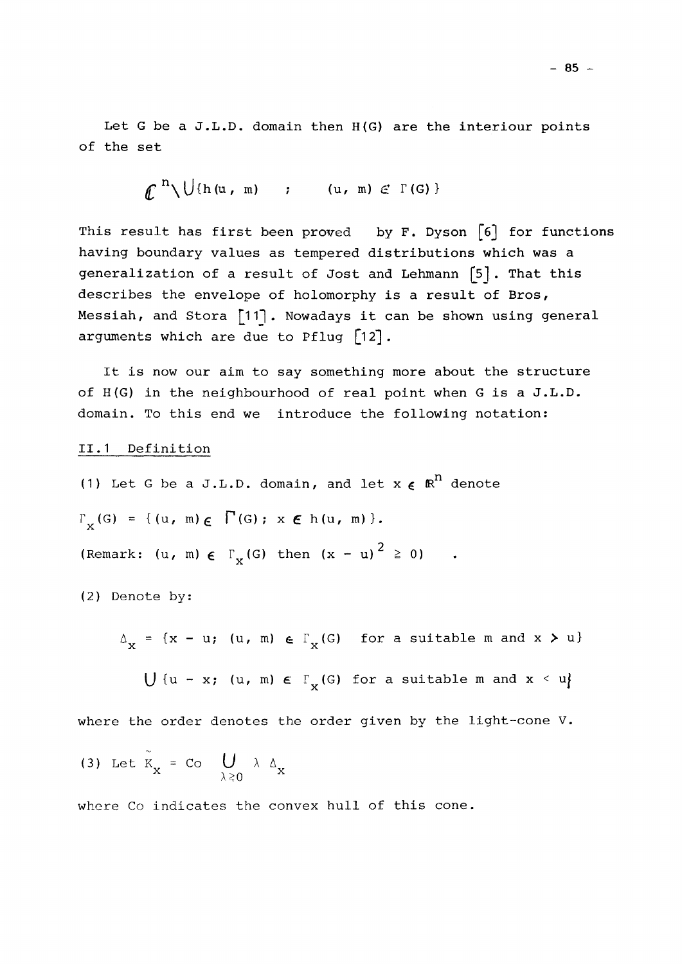Let G be a J.L.D. domain then H(G) are the interiour points of the set

**£ <sup>n</sup> \U(h(u,** m) ; (u, m) *<£ T* (G) }

This result has first been proved by F. Dyson  $\lceil 6 \rceil$  for functions having boundary values as tempered distributions which was a generalization of a result of Jost and Lehmann [5]. That this describes the envelope of holomorphy is a result of Bros, Messiah, and Stora [11]. Nowadays it can be shown using general arguments which are due to Pflug [1*2].* 

It is now our aim to say something more about the structure of H(G) in the neighbourhood of real point when G is a J.L.D. domain. To this end we introduce the following notation:

### II.1 Definition

(1) Let G be a J.L.D. domain, and let  $x \in \mathbb{R}^n$  denote  $\Gamma_{\mathbf{x}}(G) = \{ (u, m) \in \Gamma(G) : x \in h(u, m) \}.$ 2 (Remark: (u, m) £ **r** (G) then (x - u) £ 0)

(2) Denote by:

 $\Delta_{\mathbf{x}} = {\mathbf{x} - \mathbf{u}};$  (u, m)  $\in \Gamma_{\mathbf{x}}(G)$  for a suitable m and  $\mathbf{x} > \mathbf{u}$ 

 $\bigcup$  {u - x; (u, m)  $\in$   $\Gamma_{\mathbf{x}}(G)$  for a suitable m and  $\mathbf{x} \leq u$ } x \*

where the order denotes the order given by the light-cone V.

(3) Let 
$$
K_x = \text{Co} \bigcup_{\lambda \ge 0} \lambda \Delta_x
$$

where Co indicates the convex hull of this cone.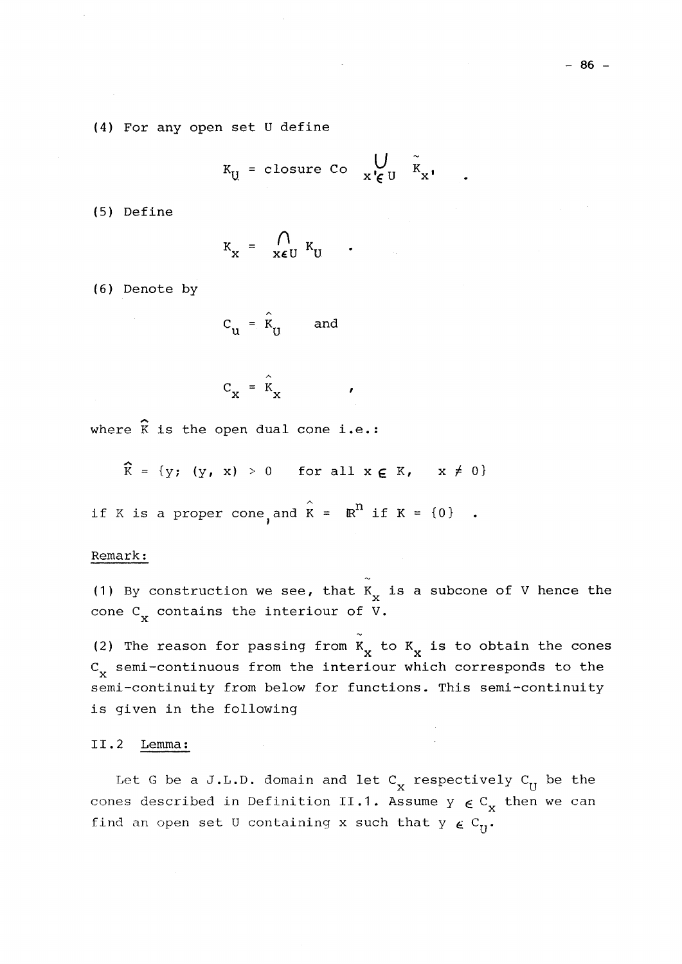(4) For any open set U define

$$
K_{U} = \text{closure } Co \quad W \quad \tilde{K}_{X}.
$$

(5) Define

$$
K_{x} = \bigcap_{x \in U} K_{U} \qquad .
$$

(6) Denote by

$$
c_{\mathbf{u}} = \hat{\mathbf{k}}_{\mathbf{u}} \quad \text{and} \quad
$$

$$
C_{X} = \hat{K}_{X} \qquad \qquad \bullet
$$

where  $\hat{K}$  is the open dual cone i.e.:

 $\hat{K} = \{y; (y, x) > 0 \text{ for all } x \in K, x \neq 0\}$ 

if K is a proper cone, and  $\hat{K} = \mathbb{R}^n$  if  $K = \{0\}$ 

## if  $K$  is a proper cone in the interpretation of  $K$  is a proper cone interpretation  $\mathbb{R}^n$

(1) By construction we see, that  $K_x$  is a subcone of V hence the  $\begin{array}{ll}\n\text{cone} & \text{contains the interior of V.} \\
\end{array}$ cone  $C_{\bf x}$  contains the interiour or  $V$ .

(2) The reason for passing from  $K_x$  to  $K_x$  is to obtain the cones C<sub>x</sub> semi-continuous from the interiour which corresponds to the semi-continuity from below for functions. This semi-continuity is given in the following

### II.2 Lemma :

Let G be a J.L.D. domain and let  $C_x$  respectively  $C_U$  be the  $\frac{1}{x}$   $\frac{1}{y}$   $\frac{1}{y}$   $\frac{1}{y}$   $\frac{1}{y}$   $\frac{1}{y}$   $\frac{1}{y}$   $\frac{1}{y}$   $\frac{1}{y}$   $\frac{1}{y}$ cones described in Definition II. 1. Assume  $\frac{1}{4}$  C  $\frac{1}{X}$ find an open set U containing x such that  $y \in C_{11}$ .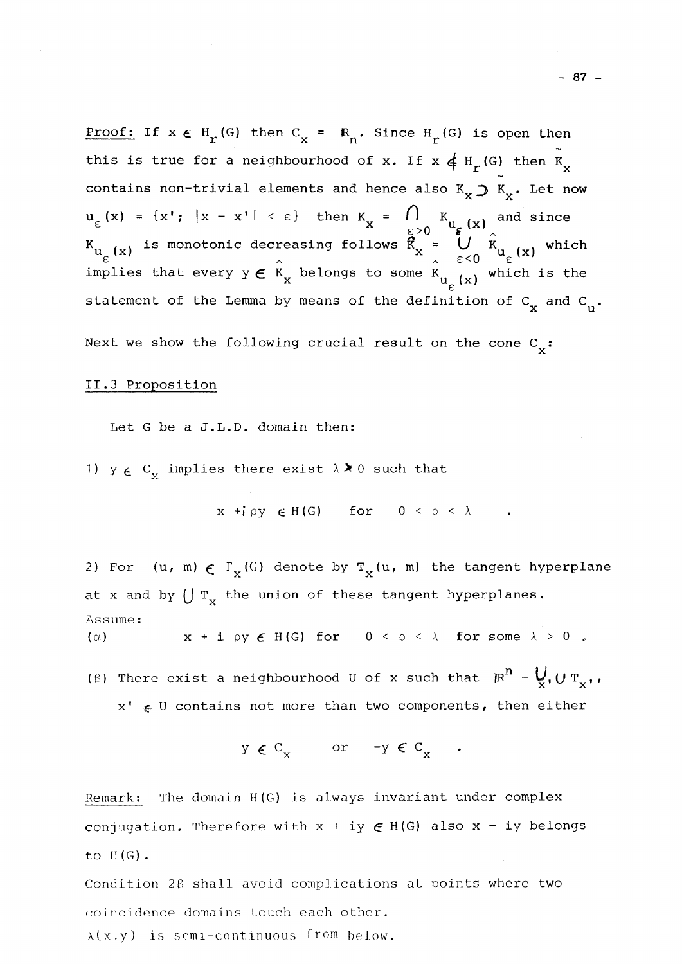<u>Proof:</u> If  $x \in H_r(G)$  then  $C_x = R_n$ . Since  $H_r(G)$  is open then this is true for a neighbourhood of x. If  $x \notin H^r(G)$  then  $K_x$ contains non-trivial elements and hence also  $K_x \supset K_x$ . Let now  $\ddot{x}$  $u_{\varepsilon}(x) = \{x': |x - x'| \leq \varepsilon\}$  then  $K_{x} = U_{x}(x)$  and since  $\mathbb{E} \times \mathbb{E} \times \mathbb{E} \times \mathbb{E} \times \mathbb{E} \times \mathbb{E} \times \mathbb{E} \times \mathbb{E} \times \mathbb{E} \times \mathbb{E} \times \mathbb{E} \times \mathbb{E} \times \mathbb{E} \times \mathbb{E} \times \mathbb{E} \times \mathbb{E} \times \mathbb{E} \times \mathbb{E} \times \mathbb{E} \times \mathbb{E} \times \mathbb{E} \times \mathbb{E} \times \mathbb{E} \times \mathbb{E} \times \mathbb{E} \times \mathbb{E} \times \mathbb{E} \times \mathbb{$  $K_{\mathrm{u}}$  (x) is monotonic decreasing follows  $K_{\mathrm{x}}$  =  $\mathrm{u}$  (x)  $K_{\mathrm{u}}$  (x) which V <sup>X</sup> ' . <sup>X</sup> . e<0 V <sup>x</sup> ) implies that every  $y \in K_{_{\rm X}}$  belongs to some  $K_{_{\rm U}-(\rm x)}$  which is the *e*  statement of the Lemma by means of the definition of  $C_x$  and  $C_u$ . Next we show the following crucial result on the cone  $C_{\boldsymbol{\mathsf{v}}} \colon$ 

## II . S Proposition of the Contract of the Contract of the Contract of the Contract of the Contract of the Contract of the Contract of the Contract of the Contract of the Contract of the Contract of the Contract of the Cont

Let G be a J.L.D. domain then:

1)  $y \in C_x$  implies there exist  $\lambda \ge 0$  such that

 $x + f \rho y \in H(G)$  for  $0 < \rho < \lambda$  .

 $\mathcal{L}^{\mathcal{L}}$  and  $\mathcal{L}^{\mathcal{L}}$  and  $\mathcal{L}^{\mathcal{L}}$  and  $\mathcal{L}^{\mathcal{L}}$  and  $\mathcal{L}^{\mathcal{L}}$  and  $\mathcal{L}^{\mathcal{L}}$ 

2) For (u, m)  $\in \Gamma_{\mathbf{X}}(G)$  denote by  $T_{\mathbf{X}}(u$ , m) the tangent hyperplane **X X**  at x and by  $\bigcup \mathrm{\,T}_{\mathrm{X}}$  the union of these tangent hyperplanes. Assume: ( $\alpha$ )  $x + i \rho y \in H(G)$  for  $0 < \rho < \lambda$  for some  $\lambda > 0$ .

(6) There exist a neighbourhood U of x such that  $\mathbb{R}^n$  -  $\bigvee_{X}$ ,  $U T_X$ , x'  $\epsilon$  U contains not more than two components, then either

Remark: The domain H(G) is always invariant under complex conjugation. Therefore with x + iy **e** H(G) also x - iy belongs to  $H(G)$ .

Condition 28 shall avoid complications at points where two coincidence domains touch each other.

 $\lambda(x,y)$  is semi-continuous from below.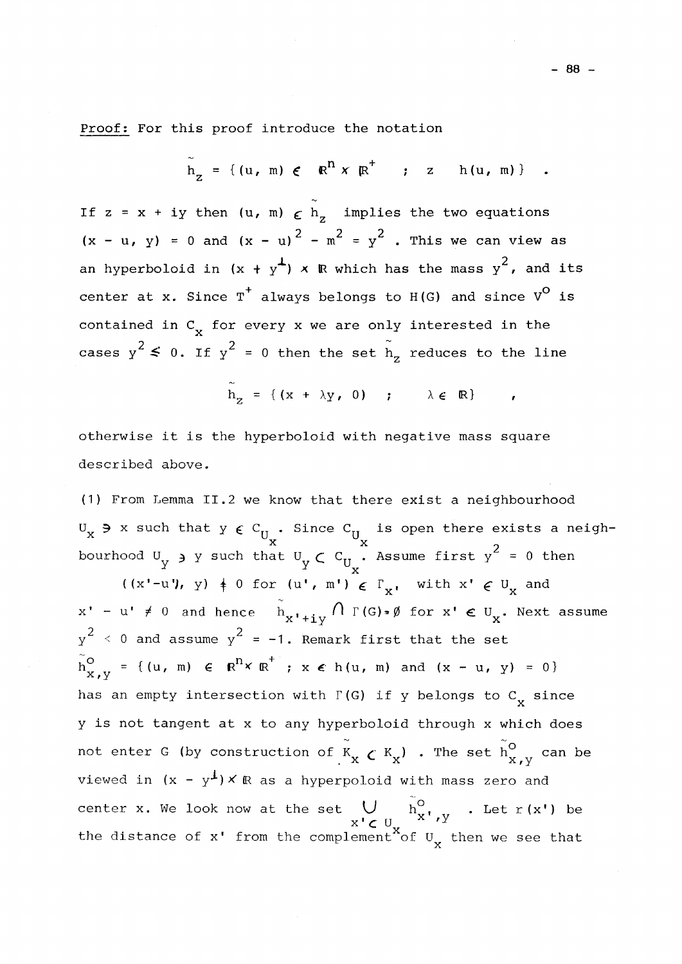Proof: For this proof introduce the notation

$$
h_{z} = \{(u, m) \in \mathbb{R}^{n} \times \mathbb{R}^{+} : z \in h(u, m)\}
$$

If  $z = x + iy$  then  $(u, m) \in h$ , implies the two equations  $2 - m^2 - 3$  $\left\{ x, \ldots, y \right\}$  and  $\left\{ x, \ldots, y \right\}$  . This we can view as an hyperboloid in  $(x + y<sup>1</sup>)$  x R which has the mass  $y<sup>2</sup>$ , and its and hyperboloid in (x  $\mathcal{A}$  + y )  $\mathcal{A}$  which has the mass  $\mathcal{A}$  which has the mass  $\mathcal{A}$ center at x. Since T' always belongs to H(G) and since  $V^{\vee}$  is contained in  $C_x$  for every x we are only interested in the  $2$   $\leq$  0 TF  $\frac{1}{1}$  i  $\cdots$  is  $\frac{1}{1}$  or then the set  $\frac{1}{2}$  reduces to the line

 $\widetilde{h}_{7} = \{ (x + \lambda y, 0) \; ; \; \lambda \in \mathbb{R} \}$ 

otherwise it is the hyperboloid with negative mass square described above.

(1) From Lemma II.2 we know that there exist a neighbourhood  $U_x$   $\rightarrow$  x such that  $y \in C_{U_x}$ . Since  $C_{U_x}$  is open there exists a neigh-**X IJ U**  at U<sub>v</sub>  $\in$  C<sub>U</sub> . Assume first y'

bourhood U  $^2$   $\mathbf{X}$  . Assume first y  $\mathbf{X}$ **2 1 X**   $(1, 4, 0, \text{and} \text{hence } \hat{h} \qquad \bigcap_{x} P(G), \emptyset$  for  $\text{ul} \circ \text{ul} \quad \text{Next}$ **X** X  $y^2 \leq 0$  and assume  $y^2 = -1$ . Remark first that the set  $z$ .  $Q = f(y, m)$   $c = n^2y$  $m_{x,y} = \{(u, m) \in \mathbb{R}^+ \times \mathbb{R} \; ; \; x \in h(u, m) \text{ and } (x - u, y) = 0\}$  $\mathcal{L}$ has an empty intersection with  $\Gamma({\tt G})$  if  ${\tt y}$  belongs to  ${\tt C}_{\bf x}^{\phantom{\dag}}$  since  $\mathbf{r}$ y is not tangent at x to any hyperboloid through x which does not enter G (by construction of  $K_{\mathbf{x}}$   $\boldsymbol{\zeta}$   $K_{\mathbf{x}}$ ) . The set  $\boldsymbol{h}^{\textsf{O}}_{\mathbf{x}}$  ,  $\boldsymbol{y}$  can be viewed in  $(x - y^{\perp}) \times \mathbb{R}$  as a hyperpoloid with mass zero and center x. We look now at the set  $\bigcup_{n=0}^{\infty}$  or  $\bigcup_{n=0}^{\infty}$  . Let  $r(x')$  be x'**c** U  $\alpha$ '<sup>x</sup><br>the distance of x' from the complement of U then we see that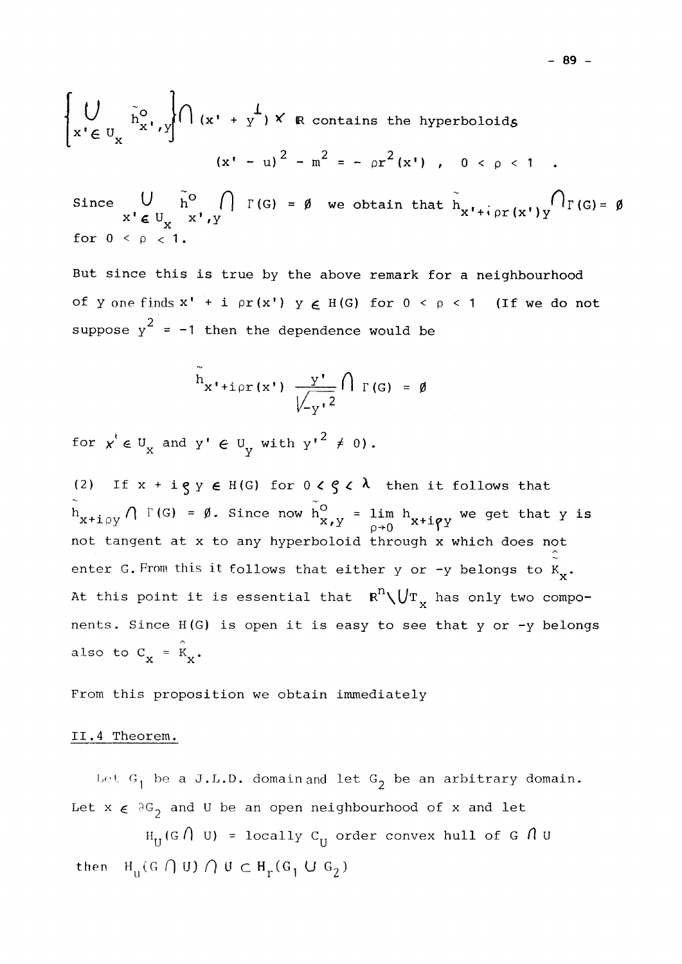$$
\left\{\bigcup_{x' \in U_x} \tilde{h}_{x',y}^0 \right\} \cap (x' + y^{\perp}) \times \mathbb{R} \text{ contains the hyperboloids}
$$
  

$$
(x' - u)^2 - m^2 = - \rho r^2(x'), \quad 0 < \rho < 1.
$$

Since  $V$  h<sup>o</sup>  $\left[\right] \Gamma(G) = \emptyset$  we obtain that  $h_{\mathbf{v} + \mathbf{i} + \alpha \mathbf{v}}(y) \cdot \mathbf{u}^{\dagger} \cdot \Gamma(G) = \emptyset$  $X' \in U_{\mathbf{y}} \quad X', Y$  $\mathbb{A}$  $\text{for } \theta < \theta < \theta.$ 

But since this is true by the above remark for a neighbourhood of y one finds  $x' + i \rho r(x')$  y  $\in$  H(G) for  $0 < \rho < 1$  (If we do not suppose  $y^2 = -1$  then the dependence would be

$$
\widetilde{h}_{x' + i \rho r(x')} \frac{y'}{\sqrt{\frac{y'}{y'^2}}} \bigcap_{\Gamma(G)} = \emptyset
$$

<sup>h</sup>x'+ipr(x') T(G) = **0**   $\boldsymbol{Y}$ for **y** <c **u** and y' **e** U with y'2 *f* 0) .

(2) If  $x + i g y \in H(G)$  for  $0 < g < \lambda$  then it follows that  $h_{x+i\rho y} \bigwedge \Gamma(G) = \emptyset$ . Since now  $h_{x,y}^0 = \lim_{\rho \to 0} h_{x+i\rho y}$  we get that y is not tangent at x to any hyperboloid through x which does not enter G. From this it follows that either y or -y belongs to  $K_{x}$ .  $\ddot{\phantom{0}}$ At this point it is essential that R**n\L**/T has only two components. Since H(G) is open it is easy to see that y or -y belongs also to  $C_{\mathbf{x}} = \hat{K}_{\mathbf{x}}$ .

From this proposition we obtain immediately

also to C = K .

Let  $G_1$  be a J.L.D. domain and let  $G_2$  be an arbitrary domain. Let  $X \in \partial G$  and U be an open neighbourhood of x and let

Let x £ **3G2** and U be an open neighbourhood of x and let  $\texttt{H}_{\text{U}}$ (G/| U) = locally  $\texttt{C}_{\text{U}}$  order convex hull of G /| U then  $H_{\text{II}}(G \cap U) \cap U \subset H_{\text{r}}(G_1 \cup G_2)$ 

**- 89 -**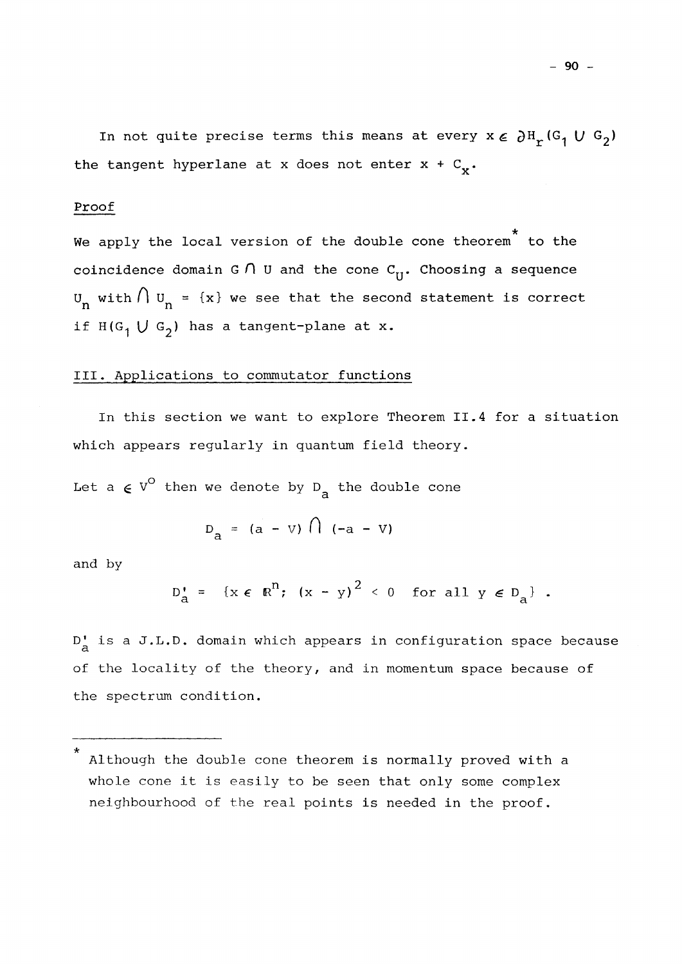In not quite precise terms this means at every  $x \in \partial H_r(G_1 \cup G_2)$ the tangent hyperlane at x does not enter  $x + C_x$ .

### Proof

**\***  We apply the local version of the double cone theorem to the coincidence domain G  $\bigcap$  U and the cone  $C_{H}$ . Choosing a sequence U<sub>n</sub> with  $\lceil \log n \rceil$  = {x} we see that the second statement is correct if  $H(G^1 \cup G^2)$  has a tangent-plane at x.

### III. Applications to commutator functions

In this section we want to explore Theorem II.4 for a situation which appears regularly in quantum field theory.

a

Let a  $\epsilon$  V<sup>O</sup> then we denote by D<sub>a</sub> the double cone

$$
D_a = (a - V) \cdot (a - V)
$$

and by

$$
D_{a}^{\prime} = \{x \in \mathbb{R}^{n}; (x - y)^{2} < 0 \text{ for all } y \in D_{a}\}.
$$

a **3.**  D <sup>f</sup> is a J.L.D. domain which appears in configuration space because a of the locality of the theory, and in momentum space because of the spectrum condition.

Although the double cone theorem is normally proved with a whole cone it is easily to be seen that only some complex neighbourhood of the real points is needed in the proof.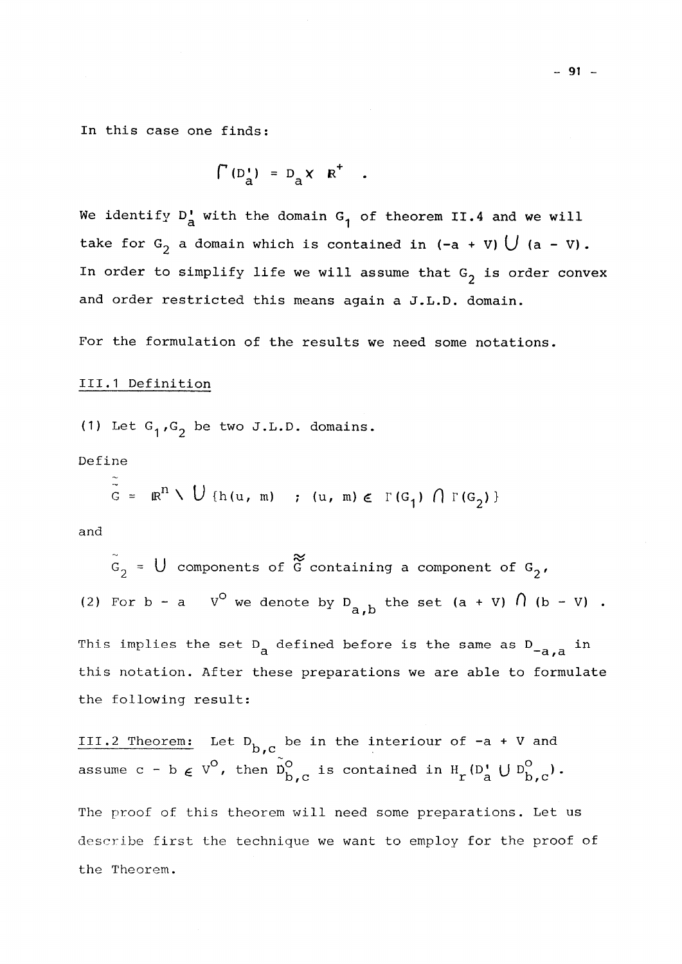In this case one finds:

$$
\int (D_{a}^{t}) = D_{a} \times R^{t} .
$$

We identify D<sub>a</sub> with the domain G<sub>1</sub> of theorem II.4 and we will take for  $G_2$  a domain which is contained in  $(-a + v)$   $\bigcup$   $(a - v)$ . In order to simplify life we will assume that  $G_2$  is order convex and order restricted this means again a J.L.D. domain.

For the formulation of the results we need some notations.

### 111.1 Definition

(1) Let  $G_1,G_2$  be two J.L.D. domains.

Define

$$
\tilde{G} = \mathbb{R}^n \setminus U \{h(u, m) : (u, m) \in \Gamma(G_1) \cap \Gamma(G_2) \}
$$

and

 $U$  components of  $\tilde{G}$  c components of G containing a component of  $G_2$ , (2) For b – a  $V^{\vee}$  we denote by D<sub>, b</sub> the set (a + V)  $\left($  (b – V) . a / *JD*  This implies the set D<sub>a</sub> defined before is the same as D<sub>-a,a</sub> in this notation. After these preparations we are able to formulate the following result:

III.2 Theorem: Let  $D_{b,c}$  be in the interiour of  $-a + V$  and assume  $c - b \in V^{\circ}$ , then  $D_{b}^{\circ}$  is contained in  $H_r(D^{\circ} \cup D^{\circ}_{b} )$ . X3**,C** r a **DfC** 

The proof of this theorem will need some preparations. Let us describe first the technique we want to employ for the proof of the Theorem.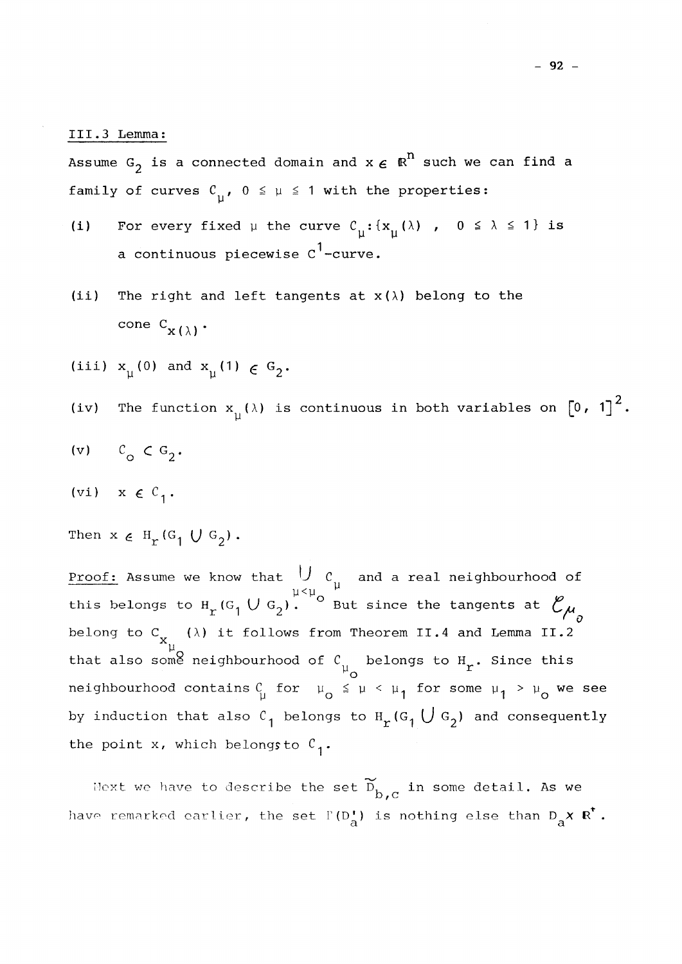III.3 Lemma:

Assume G<sub>2</sub> is a connected domain and  $x \in \mathbb{R}^n$  such we can find a family of curves  $C_{11}$ ,  $0 \le \mu \le 1$  with the properties:

- (i) For every fixed  $\mu$  the curve  $C^{\iota}_{\mu} : {\{x^{\iota}_{\mu}(\lambda) \to 0 \leq \lambda \leq 1 \}}$  is a continuous piecewise  $c^1$ -curve.
- (ii) The right and left tangents at  $x(\lambda)$  belong to the cone  $C_{\mathbf{x}(\lambda)}$ .

(iii)  $x_{\text{u}}(0)$  and  $x_{\text{u}}(1) \in G_2$ .

- The function  $x_{ij}(\lambda)$  is continuous in both variables on  $\begin{bmatrix} 0 \\ 1 \end{bmatrix}^2$ .  $(iv)$
- (v)  $C_0 \subset G_2$ .
- (vi)  $x \in C_1$ .
- Then  $x \in H_r(G_1 \cup G_2)$ .

this belongs to H  $_{\rm r}$  (G  $_{\rm 1}$   $\cup$  G  $_{\rm 2}$ ).  $\degree$  But since the tangents at  $\degree$   $\sigma_{\rm 2}$  $\epsilon$  from  $x_u$  (G) are H (G) that also some neighbourhood of  $C_1$  belongs to  $H_a$ . Since this neighbourhood contains  $C_\mu$  for  $\mu_0 \le \mu < \mu_1$  for some  $\mu_1 > \mu_0$  we see by induction that also  $c_1$  belongs to  $H_r(G_1 \cup G_2)$  and consequently the point x, which belongs to  $C^1$ .

the point we have to describe the s  $D, C$ is no

have remarked earlier, the set remarked earlier, the set remarked earlier, the set remarked earlier else than D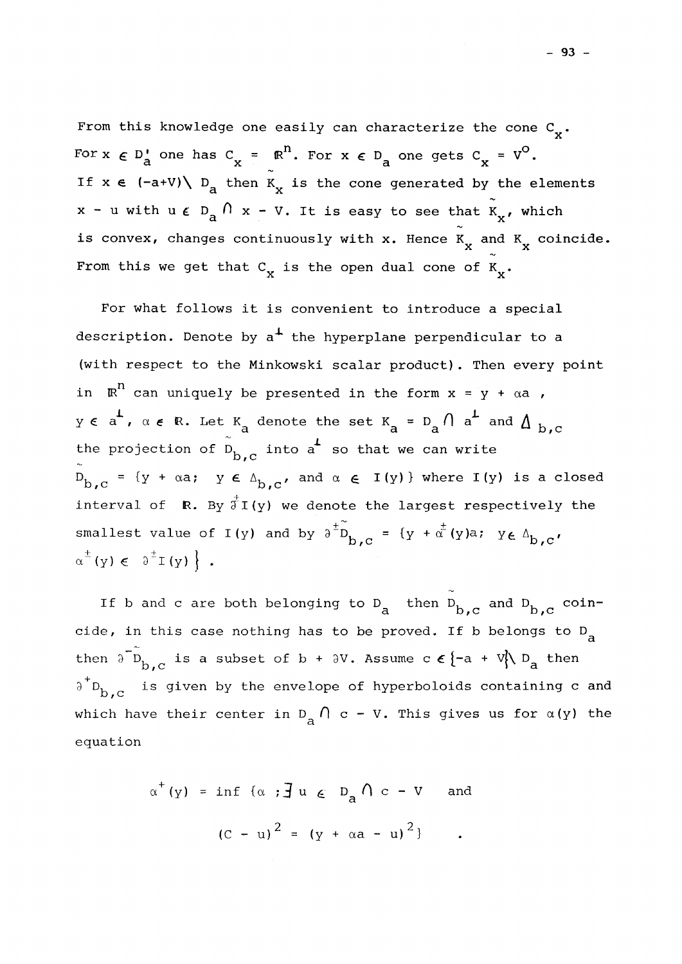From this knowledge one easily can characterize the cone  $C^{\bullet}_{\mathbf{y}}$ . For  $x \in D'_a$  one has  $C'_x = R^u$ . For  $x \in D_a$  one gets  $C'_x = V^0$ . If  $x \in (-a+V)\setminus D_a$  then  $K_x$  is the cone generated by the elements  $\overline{a}$   $\overline{a}$  $x$  - u with u  $\epsilon$   $D_{\overline{a}}$   $\hbar$   $x$  - v. It is easy to see that  $K_{\overline{X}}$ , which  $\overbrace{a}^{\circ}$  continuously with  $\overline{x}$  Henge  $\overline{Y}$  and  $\frac{1}{x}$  convex, changes continuously with  $\frac{1}{x}$  and  $\frac{1}{x}$  coincide. *<u>R</u>* X  $\begin{array}{ccc} & \mathbf{X} & \mathbf{X} & \mathbf{X} \\ & \mathbf{X} & \mathbf{X} & \mathbf{X} \end{array}$ 

For what follows it is convenient to introduce a special description. Denote by a three perpendicular to a three perpendicular to a three perpendicular to a three perp<br>In the hyperplane perpendicular to a three perpendicular to a three perpendicular to a three perpendicular to (with respect to the Minkowski scalar product). Then every point<br>in  $\mathbb{R}^n$  can uniquely be presented in the form  $x = y + \alpha a$ , in R n can uniquely be presented in the form  $\mathcal{L}$  , and  $\mathcal{L}$  are  $\mathcal{L}$  and  $\mathcal{L}$  are  $\mathcal{L}$  and  $\mathcal{L}$  are  $\mathcal{L}$  and  $\mathcal{L}$  are  $\mathcal{L}$  and  $\mathcal{L}$  are  $\mathcal{L}$  and  $\mathcal{L}$  are  $\mathcal{L}$  and  $\mathcal{$ y <£ *aL* , *a e* (R. Let K denote the set K = D *f] a.L* and & , the projection of  $\tilde{D}_{b,c}$  into a<sup>1</sup> so that we can write the projection of D, into a so that we can write a so that we can write  $\alpha$  so that we can write  $\alpha$  $\epsilon$   $\Delta_{\rm b}$ ,  $\sum_{i=1}^{n}$  and  $\sum_{i=1}^{n}$  are  $\sum_{i=1}^{n}$  (y) is a denote the length negregatively the  $L$ <sup>2</sup>  $\alpha$  ,  $\alpha$  ,  $\alpha$  ,  $\alpha$  ,  $\alpha$  ,  $\alpha$  ,  $\alpha$  ,  $\alpha$  ,  $\alpha$  ,  $\alpha$  ,  $\alpha$  ,  $\alpha$  ,  $\alpha$  ,  $\alpha$  ,  $\alpha$  ,  $\alpha$  ,  $\alpha$  ,  $\alpha$  ,  $\alpha$  ,  $\alpha$  ,  $\alpha$  ,  $\alpha$  ,  $\alpha$  ,  $\alpha$  ,  $\alpha$  ,  $\alpha$  ,  $\alpha$  ,  $\alpha$  ,  $\alpha$  ,  $\alpha$  ,  $\alpha$ smallest value of I(y) and by  $\lambda^{\pm}D = \{y + \alpha^{\pm}(y)a: y \in \Lambda\}$ .  $\sum_{n \text{ times}}$  smallest value of I(y) and by 3  $D_{\text{b},\text{c}} = {y + \alpha (y)a; y\epsilon \Delta_{\text{b},\text{c}}' \choose \alpha + \alpha + \beta}$ 

If b and c are both belonging to D<sub>a</sub> then  $D_{b,c}$  and  $D_{b,c}$  coina *o*, c **D**, c cide, in this case nothing has to be proved. If b belongs to  $^{\rm D}_{\rm a}$ then  $3~{\rm\,D}_{\rm\,}{}_{\rm\,}{}_{\rm C}$  is a subset of b +  $3{\rm\,V}_{\bullet}$ . Assume c  $\epsilon$  {-a + V}\  ${\rm\,D}_{\rm\,}{}_{\rm\,}{}$  then  $\theta$   $D_h$  is given by the envelope of hyperboloids containing c and **D / C**   $\alpha$ 

$$
\alpha^+(y) = \inf \{ \alpha : \exists u \in D_a \cap c - v \text{ and}
$$
  
 $(c - u)^2 = (y + \alpha a - u)^2 \}$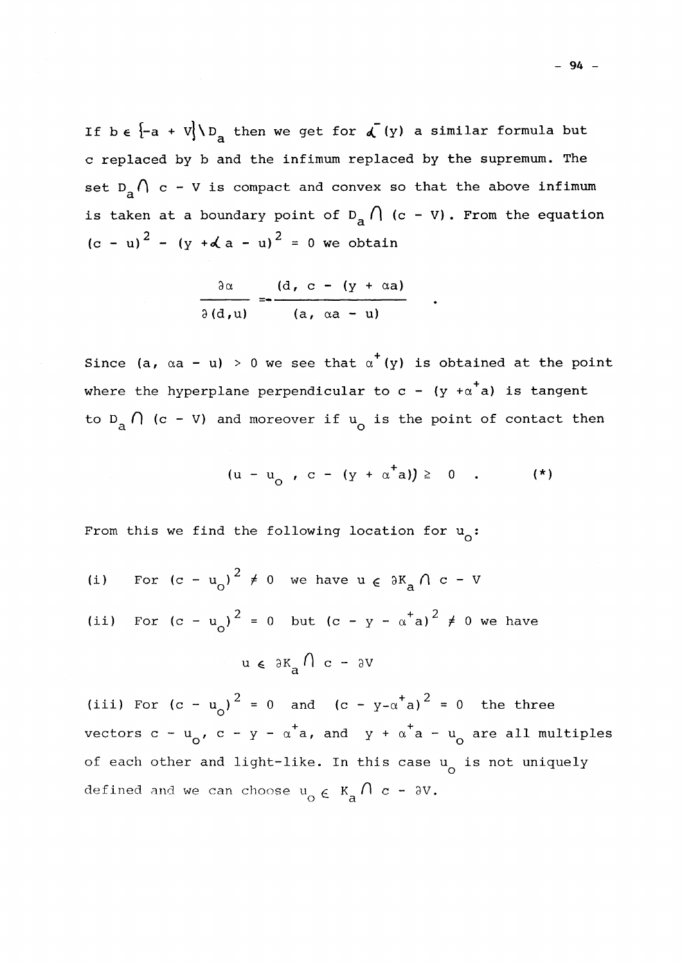If be  $\{-a + V\} \setminus D_a$  then we get for  $\sqrt{(y)}$  a similar formula but c replaced by b and the infimum replaced by the supremum. The set  $D_a \bigcap c$  - V is compact and convex so that the above infimum is taken at a boundary point of  $D_a \cap (c - v)$ . From the equation a  $(c - u)^2 - (y + d a - u)^2 = 0$  we obtain

$$
\frac{\partial \alpha}{\partial (d, u)} = \frac{(d, c - (y + \alpha a))}{(a, \alpha a - u)}
$$

Since (a,  $\alpha$ a - u) > 0 we see that  $\alpha^{+}(y)$  is obtained at the point where the hyperplane perpendicular to  $c - (y + a^{\dagger}a)$  is tangent to D<sub>,</sub>  $\left( \begin{array}{cc} 1 & (c - V) \end{array} \right)$  and moreover if  $u_{\alpha}$  is the point of contact then

 $(u - u_a, c - (y + \alpha^{\dagger} a)) \ge 0$  (\*)

o

From this we find the following location for  $u_{\alpha}$ :

- 2 (i) For  $\alpha_0$ ,  $\alpha$  we have  $\alpha \in \alpha_{\mathbf{a}}$ ,  $\alpha$  v
- o a (ii) For  $(c - u_0)^2 = 0$  but  $(c - y - \alpha^{\dagger} a)^2 \neq 0$  we have

$$
u \in \partial K_a \cap c - \partial V
$$

 $2 - 0$  and  $(2 - y)^{2}$  $\frac{1}{\alpha}$   $\frac{1}{\alpha}$  is  $\frac{1}{\alpha}$  in  $\frac{1}{\alpha}$  and  $\frac{1}{\alpha}$  is  $\frac{1}{\alpha}$  and  $\frac{1}{\alpha}$  is the three vectors c - u<sub>o</sub>, c - y - a a, and y + a a - u<sub>o</sub> are all multiples of each other and light-like. In this case u<sub>o</sub> is not uniquely defined and we can choose  $u_{\alpha} \in K_{\alpha} \cap \alpha - \delta V$ . o e a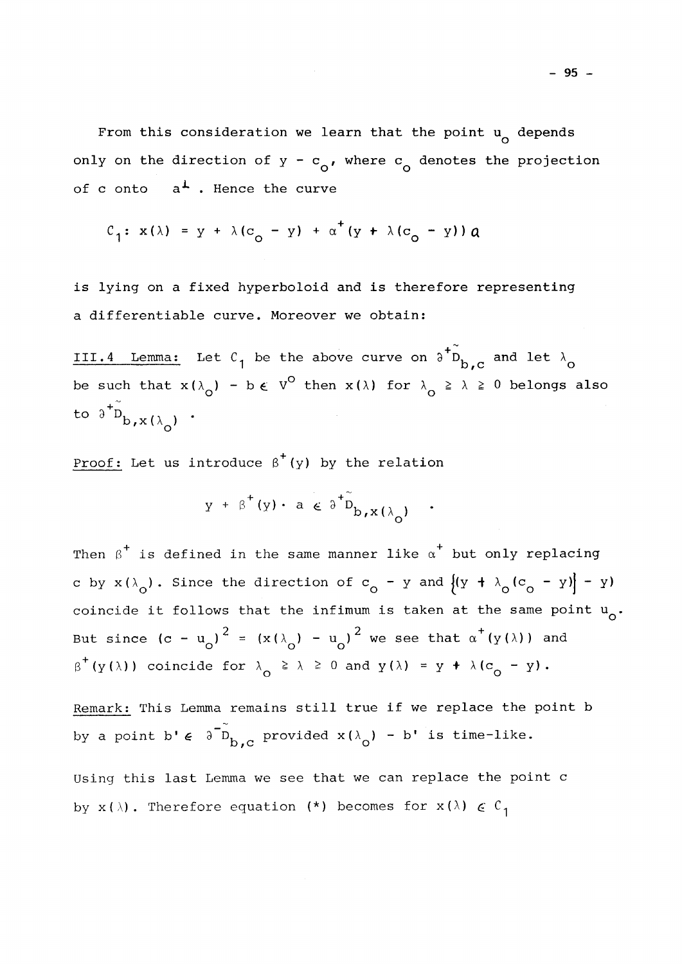of c onto  $a^{\perp}$ . Hence the curve

$$
C_1: x(\lambda) = y + \lambda (c_0 - y) + \alpha^+(y + \lambda (c_0 - y)) a
$$

is lying on a fixed hyperboloid and is therefore representing a differentiable curve. Moreover we obtain:

III.4 Lemma: Let C<sub>1</sub> be the above curve on  $\partial^+ \tilde{D}_{b,c}$  and let  $\lambda_{\Omega}$ be such that  $x(\lambda_0) - b \in V^0$  then  $x(\lambda)$  for  $\lambda_0 \ge \lambda \ge 0$  belongs also to  $\delta^{+}$  $D_{\mathbf{b},\mathbf{x}(\lambda_{\alpha})}$ .

Proof: Let us introduce  $\beta^+(y)$  by the relation

$$
y + \beta^+(y) \cdot a \in \delta^{\dagger} \tilde{D}_{b,x}(\lambda_0) .
$$

Then  $\beta^+$  is defined in the same manner like  $\alpha^+$  but only replacing c by  $x(\lambda_0)$ . Since the direction of  $c_0 - y$  and  $((y + \lambda_0(c_0 - y)) - y)$  $coincid_2$  it follows that the infimum is taken at the same point  $\mu$ coincide is follows that the infimum is taken at the same point  $\sim$ But since  $(c - u_0)^2 = (x(\lambda_0) - u_0)^2$  we see that  $\alpha^+(y(\lambda))$  and  $\beta^{\top}$ (y( $\lambda$ )) coincide for  $\lambda_{\alpha} \geq \lambda \geq 0$  and  $y(\lambda) = y + \lambda(c_{\alpha} - y)$ .

Remark: This Lemma remains still true if we replace the point b by a point b'  $\epsilon$   $\delta^{-\tilde{D}}$ <sub>b.c</sub> provided  $x(\lambda_0)$  - b' is time-like.

Using this last Lemma we see that we can replace the point c by  $x(\lambda)$ . Therefore equation (\*) becomes for  $x(\lambda) \in C_1$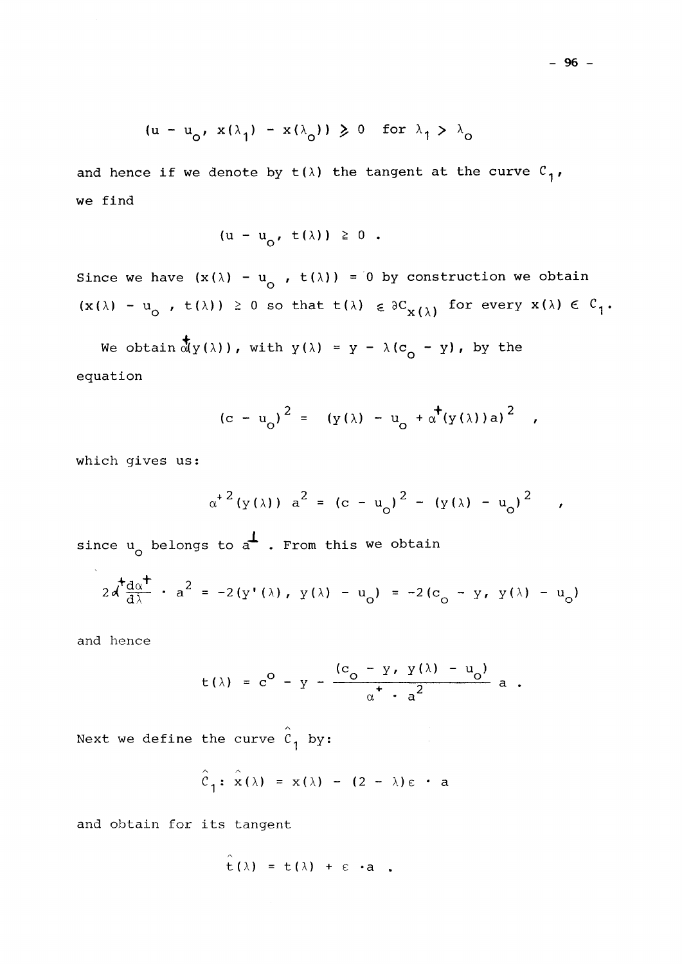$$
(u - u_0, x(\lambda_1) - x(\lambda_0)) \ge 0
$$
 for  $\lambda_1 > \lambda_0$ 

and hence if we denote by  $t(\lambda)$  the tangent at the curve  $C^1$ , we find

$$
(u - u_0, t(\lambda)) \geq 0.
$$

Since we have  $(x(\lambda) - u_{\alpha}$ ,  $t(\lambda)) = 0$  by construction we obtain  $(x(\lambda) - u_{\alpha}^{\dagger}, t(\lambda)) \geq 0$  so that  $t(\lambda) \in \partial C_{X(\lambda)}^{\dagger}$  for every  $x(\lambda) \in C$ 

We obtain  $\frac{1}{M}y(\lambda)$ ), with  $y(\lambda) = y - \lambda(c_0 - y)$ , by the equation

$$
(c - u_0)^2 = (y(\lambda) - u_0 + \alpha^+(y(\lambda))a)^2
$$
,

which gives us:

$$
\alpha^{+2}(y(\lambda))
$$
  $a^{2} = (c - u_{0})^{2} - (y(\lambda) - u_{0})^{2}$ 

since  $u_0$  belongs to  $a^{\perp}$  . From this we obtain

$$
2d \frac{d^2 \alpha^2}{d\lambda} - a^2 = -2(y'(\lambda), y(\lambda) - u_0) = -2(c_0 - y, y(\lambda) - u_0)
$$

and hence

$$
t(\lambda) = c^0 - y - \frac{(c_0 - y, y(\lambda) - u_0)}{\alpha^+ \cdot a^2} a.
$$

Next we define the curve  $\hat{c}_1$  by:

$$
\hat{c}_1
$$
:  $\hat{x}(\lambda) = x(\lambda) - (2 - \lambda)\epsilon \cdot a$ 

and obtain for its tangent

$$
\hat{t}(\lambda) = t(\lambda) + \varepsilon \cdot a
$$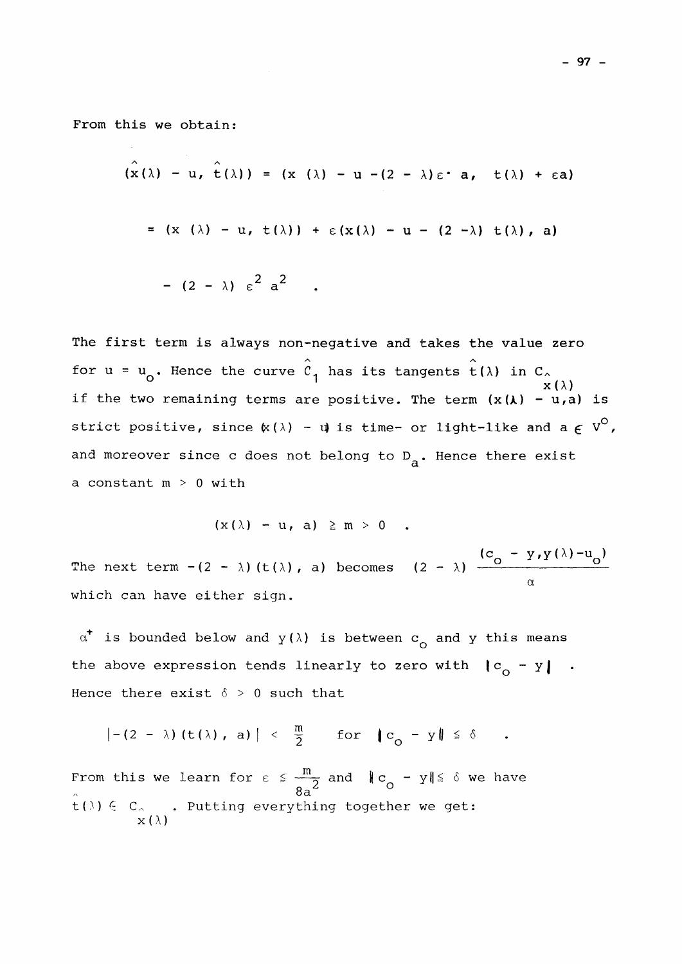From this we obtain:

$$
(\hat{x}(\lambda) - u, \hat{t}(\lambda)) = (x (\lambda) - u - (2 - \lambda)\epsilon \cdot a, t(\lambda) + \epsilon a)
$$
  
= (x (\lambda) - u, t(\lambda)) + \epsilon (x(\lambda) - u - (2 - \lambda) t(\lambda), a)  
- (2 - \lambda) \epsilon<sup>2</sup> a<sup>2</sup>

The first term is always non-negative and takes the value zero for  $u = u_0$ . Hence the curve  $\hat{c}_1$  has its tangents  $\hat{t}(\lambda)$  in  $C_{\lambda}$   $\hat{x}(\lambda)$  $\mathbf{x}(\lambda)$ if the two remaining terms are positive. The term *(x(K)* - u,a) is strict positive, since  $\kappa(\lambda)$  -  $\psi$  is time- or light-like and a  $\epsilon$  V<sup>O</sup>, and moreover since c does not belong to  $D_{\sf a}$ . Hence there exist a constant  $m > 0$  with

 $(x(\lambda) - u, a) \ge m > 0$ .

 $(c_0 - y, y(\lambda) - u_0)$ The next term  $-(2 - \lambda)(t(\lambda))$ , a) becomes  $(2 - \lambda)$  - $\alpha$ which can have either sign.

 $\alpha^*$  is bounded below and  $y(\lambda)$  is between  $c^{\text{}}_{\text{O}}$  and y this means the above expression tends linearly to zero with  $\mathbf{c}_o - \mathbf{y}$  . Hence there exist  $\delta > 0$  such that

$$
|- (2 - \lambda) (t(\lambda), a)| < \frac{m}{2}
$$
 for  $|c_0 - y| \le \delta$ .

From this we learn for  $\varepsilon \leq \frac{m}{2}$  and  $\|c_{\alpha} - y\| \leq \delta$  we have **8A^ °**  t())  $\in$  C<sub>^</sub> . Putting everything together we get:  $x(\lambda)$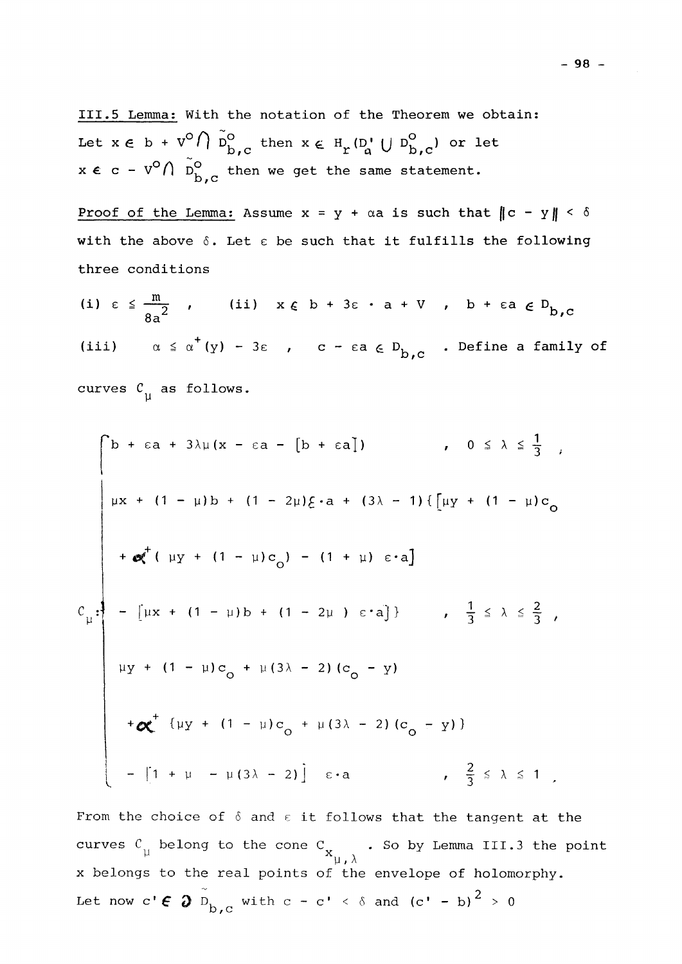111,5 Lemma: With the notation of the Theorem we obtain: Let  $x \in b + v^{\circ} \cap \tilde{D}_{b,c}^{\circ}$  then  $x \in H_r(D_a' \cup D_{b,c}^{\circ})$  or let  $\frac{1}{2}$ ,  $\frac{1}{2}$ ,  $\frac{1}{2}$ ,  $\frac{1}{2}$ ,  $\frac{1}{2}$ ,  $\frac{1}{2}$ ,  $\frac{1}{2}$ ,  $\frac{1}{2}$ ,  $\frac{1}{2}$ ,  $\frac{1}{2}$ ,  $\frac{1}{2}$ ,  $\frac{1}{2}$ ,  $\frac{1}{2}$ ,  $\frac{1}{2}$ ,  $\frac{1}{2}$ ,  $\frac{1}{2}$ ,  $\frac{1}{2}$ ,  $\frac{1}{2}$ ,  $\frac{1}{2}$ ,  $\frac{1}{2}$ ,  $x \, \epsilon \,$  c - v  $\iota$  l  $D^{}_{\rm b}$  then we get the same statement.

Proof of the Lemma: Assume  $x = y + \alpha a$  is such that  $||c - y|| < \delta$ with the above **6.** Let *e* be such that it fulfills the following three conditions

(i) 
$$
\varepsilon \le \frac{m}{8a^2}
$$
, (ii)  $x \varepsilon b + 3\varepsilon \cdot a + V$ ,  $b + \varepsilon a \varepsilon D_{b,c}$   
(iii)  $\alpha \le \alpha^+(y) - 3\varepsilon$ ,  $c - \varepsilon a \varepsilon D_{b,c}$ . Define a family of

curves  $\mathcal{C}_{\text{u}}$  as follows.

**Y** 

$$
\begin{bmatrix}\nb + \varepsilon a + 3\lambda \mu (x - \varepsilon a - [b + \varepsilon a]) & , & 0 \le \lambda \le \frac{1}{3} , \\
\mu x + (1 - \mu) b + (1 - 2\mu) \xi \cdot a + (3\lambda - 1) \{ [\mu y + (1 - \mu) c_0 \} + \alpha^{\dagger} (\mu y + (1 - \mu) c_0) - (1 + \mu) \varepsilon \cdot a] \end{bmatrix}
$$
\n
$$
c_{\mu} : \begin{bmatrix}\n-\left[\mu x + (1 - \mu) b + (1 - 2\mu) \varepsilon \cdot a\right]\n\end{bmatrix} \quad , \quad \frac{1}{3} \le \lambda \le \frac{2}{3} ,
$$
\n
$$
\mu y + (1 - \mu) c_0 + \mu (3\lambda - 2) (c_0 - y)
$$
\n
$$
+ \alpha^{\dagger} (\mu y + (1 - \mu) c_0 + \mu (3\lambda - 2) (c_0 - y))
$$
\n
$$
- [1 + \mu - \mu (3\lambda - 2)] \quad \varepsilon \cdot a \quad , \quad \frac{2}{3} \le \lambda \le 1 ,
$$

From the choice of  $\delta$  and  $\varepsilon$  it follows that the tangent at the curves  $C_{\mu}$  belong to the cone  $C_{\mu}$  . So by Lemma III.3 the point  $\mu, \lambda$  $L$  *I*  $H$ Let now  $c' \in \mathfrak{d}$   $\tilde{D}_{b,c}$  with  $c - c' < \delta$  and  $(c' - b)^2 > 0$ 

 $-98 -$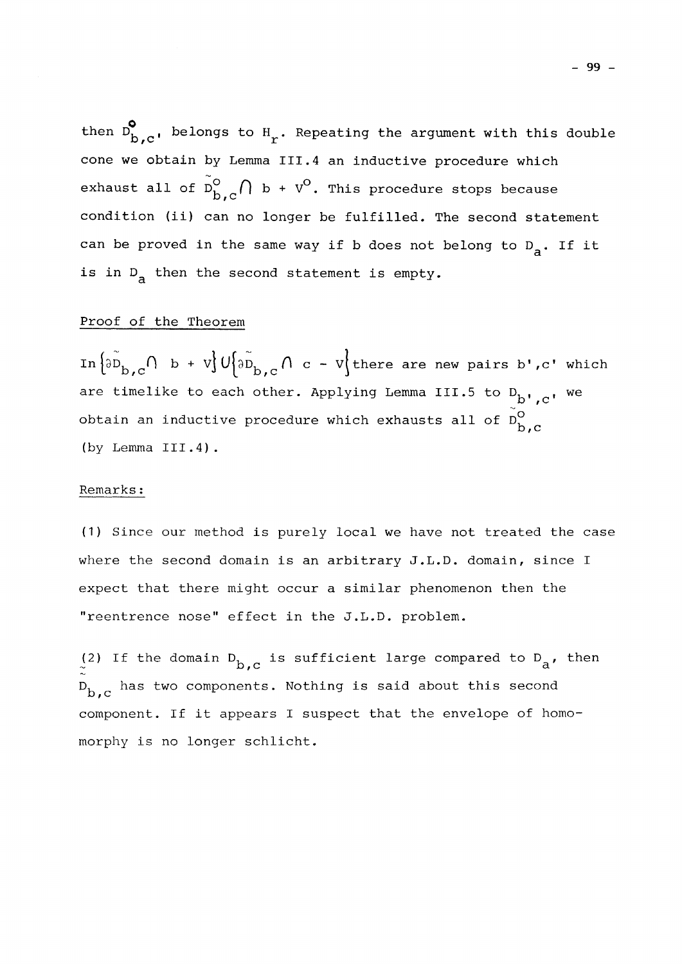then  $D_{b,c}^{\bullet}$ , belongs to  $H_r$ . Repeating the argument with this double cone we obtain by Lemma III.4 an inductive procedure which exhaust all of  $\tilde{D}_{h.c}^{\circ} \bigcap_{h \in \mathcal{C}} h + v^{\circ}$ . This procedure stops because exhaust all of *f]* b + V°. This procedure stops because **J** can be proved in the same usy if h does not belong to  $D$ . If it can be proved in the same way if b does not belong to  $D_{\alpha}$ . If it is in  $D_a$  then the second statement is empty.

### Proof of the Theorem

In  $\left\{\widetilde{\partial D}_{b,c}\cap b + v\right\}U\left\{\widetilde{\partial D}_{b,c}\cap c - v\right\}$  there are new pairs b', c' which are timelike to each other. Applying Lemma III.5 to D., , we obtain an inductive procedure which exhausts all of  $\tilde{\rm n}^{\rm O}$ **JD / C**  (by Lemma III.4).

## $\frac{1}{2}$  .

(1) Since our method is purely local we have not treated the case (1) Since our method is purely local we have not treated the case of treated the case  $\mathcal{L}$ where the second domain is an arbitrary J.L.D. domain is an arbitrary J.L.D. domain, since I.L.D. domain, sinc expect that there might occur a similar phenomenon that the similar phenomenon then the similar phenomenon the

(2) If the domain  $D_{b,c}$  is sufficient large compared to  $D_{a}$ , then  $\mathcal{L}(\mathcal{L})$  is sufficient large compared to  $\mathcal{L}(\mathcal{L})$  is sufficient large compared to  $\mathcal{L}(\mathcal{L})$  $\mathbf{D_{b,c}}$  has two components. Nothing is said about this second component. If it appears I suspect that the envelope of homomorphy is no longer schlicht.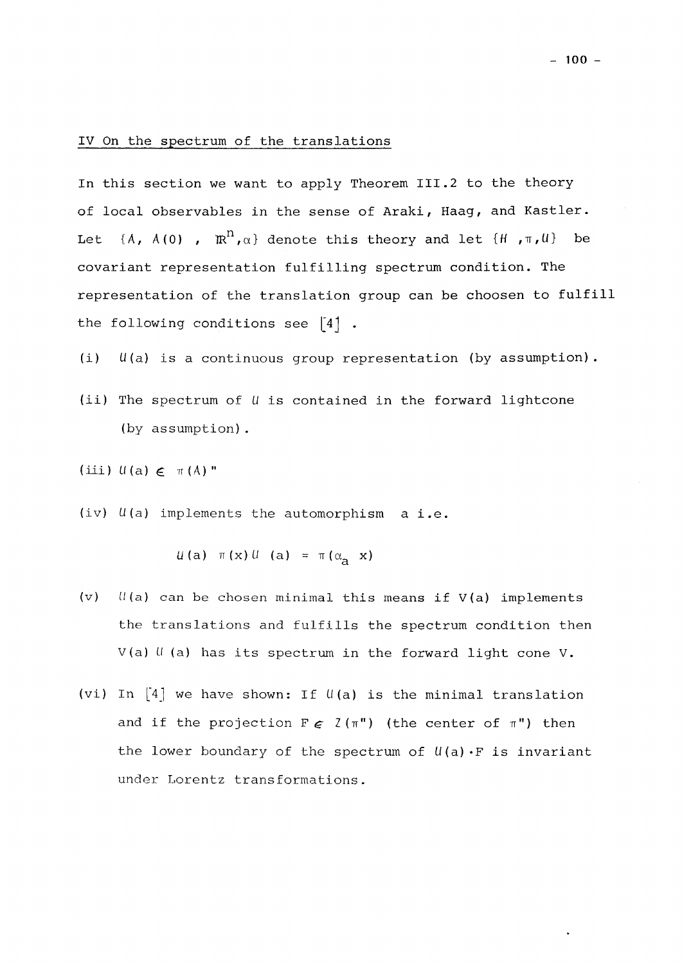### IV On the spectrum of the translations

In this section we want to apply Theorem III.2 to the theory of local observables in the sense of Araki, Haag, and Kastler. Let  $\{A, A(0), \mathbb{R}^n, \alpha\}$  denote this theory and let  $\{H, \pi, U\}$  be covariant representation fulfilling spectrum condition. The representation of the translation group can be choosen to fulfill the following conditions see  $\begin{bmatrix} 4 \end{bmatrix}$ .

(i) U(a) is a continuous group representation (by assumption).

(ii) The spectrum of *U* is contained in the forward lightcone (by assumption).

 $(iii)$   $U(a) \in \pi(A)$  "

(iv) U(a) implements the automorphism a i.e.

 $u(a)$   $\pi(x)$   $u(a)$  =  $\pi(\alpha_a x)$ 

- (v) *U(a)* can be chosen minimal this means if V(a) implements the translations and fulfills the spectrum condition then V(a) *U* (a) has its spectrum in the forward light cone V.
- (vi) In  $\begin{bmatrix} 4 \end{bmatrix}$  we have shown: If  $\mathfrak{U}(\mathsf{a})$  is the minimal translation and if the projection  $F \in \mathcal{Z}(\pi^{n})$  (the center of  $\pi^{n}$ ) then the lower boundary of the spectrum of  $U(a) \cdot F$  is invariant under Lorentz transformations.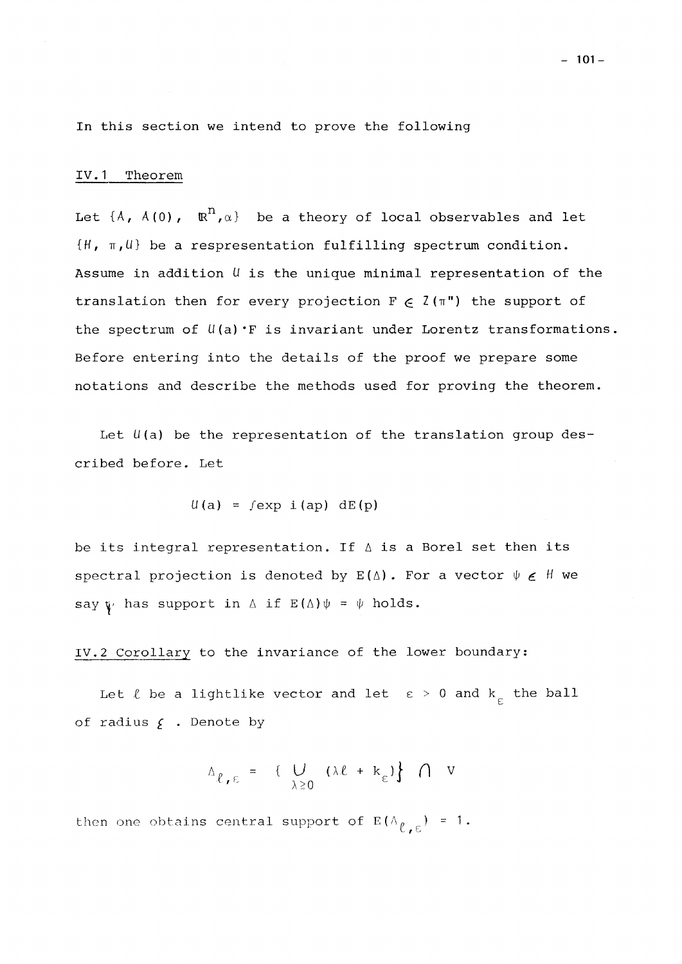In this section we intend to prove the following

### IV.1 Theorem

Let  $\{A, A(0), \mathbb{R}^n, \alpha\}$  be a theory of local observables and let **{H, TT,(J**} be a respresentation fulfilling spectrum condition. Assume in addition U is the unique minimal representation of the translation then for every projection  $F \in Z(\pi")$  the support of the spectrum of  $U(a)$   $\cdot$  F is invariant under Lorentz transformations. Before entering into the details of the proof we prepare some notations and describe the methods used for proving the theorem.

Let  $U(a)$  be the representation of the translation group described before. Let

$$
u(a) = f \exp(i(ap) dE(p)
$$

be its integral representation. If **A** is a Borel set then its spectral projection is denoted by  $E(\Delta)$ . For a vector  $\psi \in H$  we say  $\psi$  has support in  $\Delta$  if  $E(\Delta)\psi = \psi$  holds.

IV.2 Corollary to the invariance of the lower boundary:

Let  $\ell$  be a lightlike vector and let  $\varepsilon > 0$  and  $k_{\varepsilon}$  the ball of radius  $f$  . Denote by

$$
\Delta_{\ell, \epsilon} = \{ \bigcup_{\lambda \geq 0} (\lambda \ell + k_{\epsilon}) \} \cap V
$$

then one obtains central support of  $E(\Lambda_{\ell,\epsilon}) = 1$ .

**- 101-**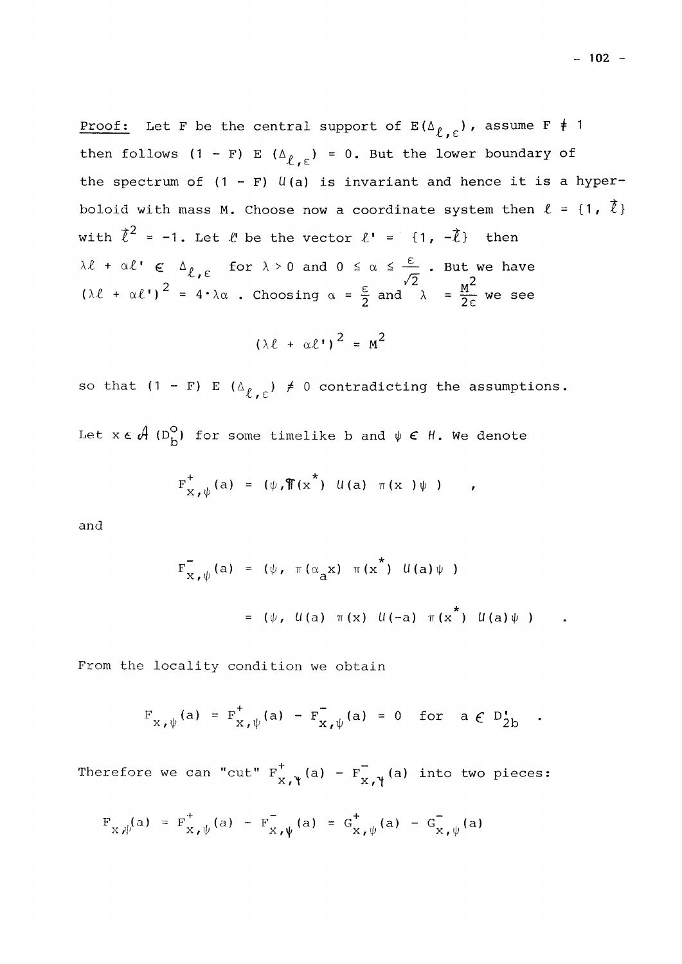Proof: Let F be the central support of  $E(\Delta_{\ell,\epsilon})$ , assume F  $\neq$  1 then follows  $(1 - F) E(\Delta_{\ell, \epsilon}) = 0$ . But the lower boundary of the spectrum of  $(1 - F)$   $U(a)$  is invariant and hence it is a hyperboloid with mass M. Choose now a coordinate system then  $\ell = \{1, \overrightarrow{\ell}\}\$ with  $\ell^2 = -1$ . Let  $\ell$  be the vector  $\ell^1 = \{1, -\ell\}$  then  $\lambda \ell + \alpha \ell' \in \Delta_{\ell, \epsilon}$  for  $\lambda > 0$  and  $0 \leq \alpha \leq \frac{\epsilon}{\epsilon}$ . But we have  $(\lambda \ell + \alpha \ell')^2 = 4 \cdot \lambda \alpha$  . Choosing  $\alpha = \frac{\varepsilon}{2}$  and  $\lambda = \frac{M^2}{2c}$  we see

$$
(\lambda \ell + \alpha \ell^*)^2 = M^2
$$

so that  $(1 - F) E (\Delta_{\ell, \epsilon}) \neq 0$  contradicting the assumptions. Let  $x \in \mathcal{A}$  (D<sub>b</sub><sup>O</sup>) for some timelike b and  $\psi \in \mathcal{H}$ . We denote

$$
F_{X,\psi}^{\dagger}(a) = (\psi, \mathcal{T}(x^*) \mathcal{U}(a) \pi(x) \psi)
$$

and

$$
F_{X,\psi}^{-}(a) = (\psi, \pi(\alpha_a x) \pi(x^*) U(a) \psi)
$$
  
= (\psi, U(a) \pi(x) U(-a) \pi(x^\*) U(a) \psi)

From the locality condition we obtain

$$
F_{X,\psi}(a) = F_{X,\psi}^{\dagger}(a) - F_{X,\psi}^{\dagger}(a) = 0 \text{ for } a \in D_{2b}^{\dagger} .
$$

Therefore we can "cut"  $F_{\mathbf{v} - \mathbf{v}}^{\dagger}(\mathbf{a}) - F_{\mathbf{v} - \mathbf{v}}^{\dagger}(\mathbf{a})$  into two pieces: **X***r* **x X** 

$$
F_{X,\psi}(a) = F_{X,\psi}^{+}(a) - F_{X,\psi}^{-}(a) = G_{X,\psi}^{+}(a) - G_{X,\psi}^{-}(a)
$$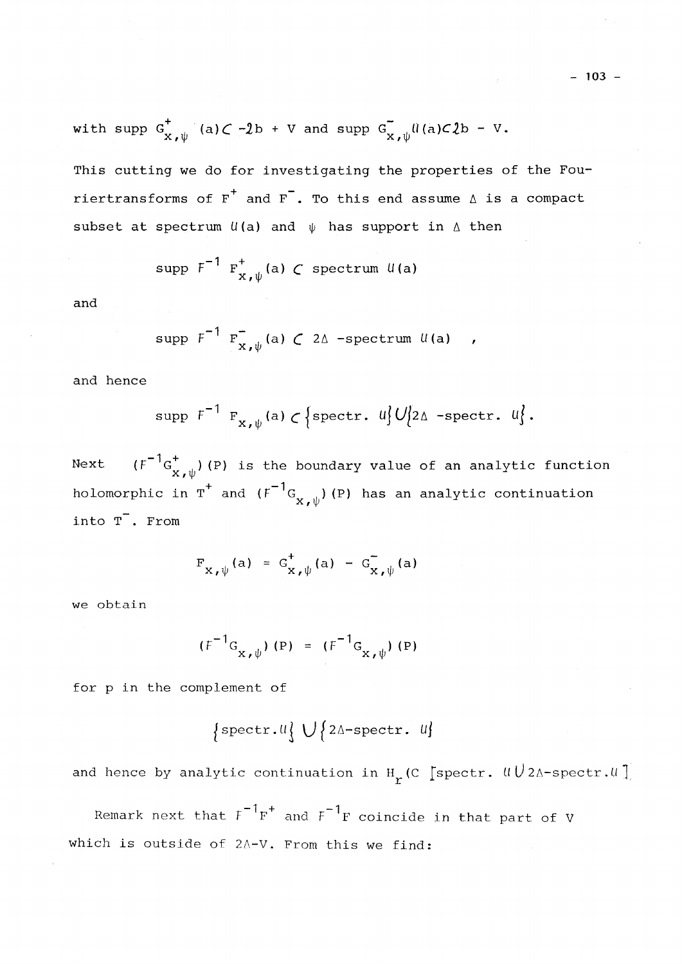with supp 
$$
G_{x,\psi}^+
$$
 (a)  $\subset -2b + V$  and supp  $G_{x,\psi}^+$   $\mathcal{U}(a) \subset 2b - V$ .

This cutting we do for investigating the properties of the Fouriertransforms of  $F^+$  and  $F^-$ . To this end assume  $\Delta$  is a compact subset at spectrum  $U(a)$  and  $\psi$  has support in  $\Delta$  then

$$
\text{supp } f^{-1} F_{x, \psi}^{\dagger}(a) \text{ C spectrum } U(a)
$$

and

$$
\text{supp } f^{-1} F_{X,\psi}^{-}(a) \subset 2\Delta \text{ -spectrum } U(a) ,
$$

and hence

$$
\text{supp } f^{-1} F_{x, \psi}(a) \subset \left\{ \text{spectr. } u \right\} U_{2\Delta} - \text{spectr. } u \}.
$$

 $(F^{-1}G_{X,\psi}^+)$  (P) is the boundary value of an analytic function  ${\tt Next}$  $N = \frac{N}{\phi}$  is the boundary value of an analytic function  $\phi$  $\frac{d}{dt}$   $\left( r \right)$ into  $T$ . From

$$
F_{X,\psi}(a) = G_{X,\psi}^+(a) - G_{X,\psi}^-(a)
$$

we obtain

$$
(F^{-1}G_{X,\psi}) (P) = (F^{-1}G_{X,\psi}) (P)
$$

for p in the complement of

$$
{\{ \text{spectr.} \cup \} \cup \{ \text{2A-spectr.} \cup \}}
$$

and hence by analytic continuation in  $H_r$  (C [spectr.  $UU_{2\Delta}$ -spectr.  $U$ ]

Remark next that  $F^{-1}F^{+}$  and  $F^{-1}F$  coincide in that part of V which is outside of  $2\Delta-\mathrm{V}$ . From this we find: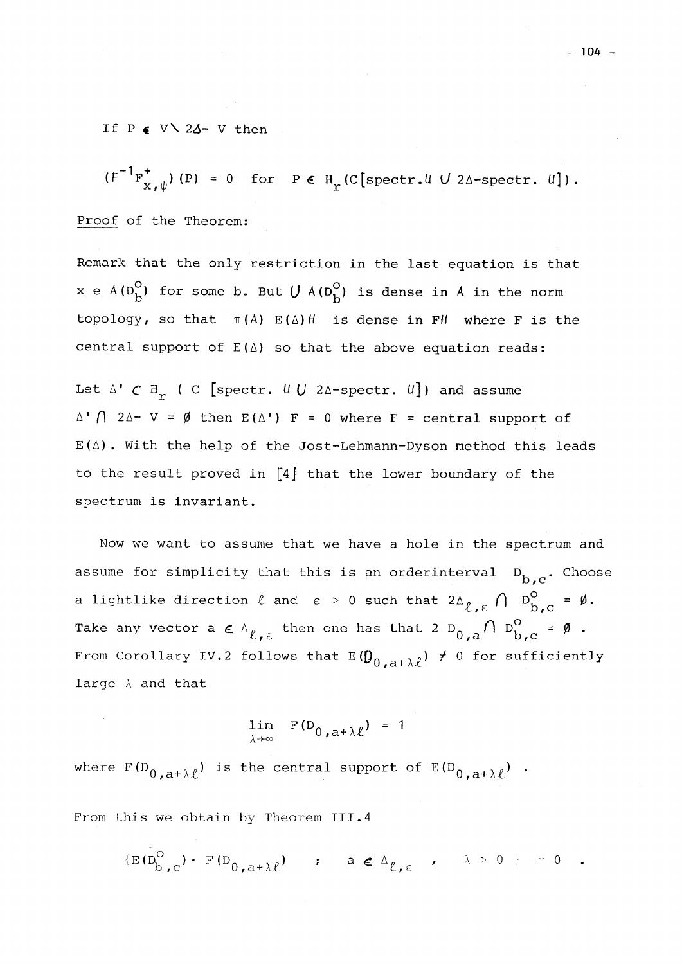If P « V \ *2A-* V then

 $(F^{-1}F_{\mathbf{v}_{-},h}^{+})(P) = 0$  for  $P \in H_{\mathbf{v}}(C[\text{spectr. }U U 2\Delta\text{-spectr. }U]).$ **X** *f* **IT**  Proof of the Theorem:

Remark that the only restriction in the last equation is that x e  $A(D_b^O)$  for some b. But  $U A(D_b^O)$  is dense in A in the norm topology, so that  $\pi(A)$   $E(\Delta)$  is dense in FH where F is the central support of E(**A)** so that the above equation reads:

Let  $\Delta$ <sup>*'*</sup>  $\subset$  H<sub>r</sub><sup>*(*</sup> C [spectr. *U*]  $\Delta$ -spectr. *U*]) and assume  $\Lambda$ ' $\Lambda$  2 $\Lambda$ - V =  $\emptyset$  then E( $\Lambda$ ') F = 0 where F = central support of E**(A).** With the help of the Jost-Lehmann-Dyson method this leads to the result proved in [4] that the lower boundary of the spectrum is invariant.

Now we want to assume that we have a hole in the spectrum and assume for simplicity that this is an orderinterval  $D_{b,c}$ . Choose **JD » C**  a lightlike direction  $\ell$  and  $\epsilon$  > 0 such that 2A  $\ell$  ,  $\epsilon$  (|  $\rm{D_{b,c}^\circ}$  =  $\rm{\emptyset.}$  $\Lambda$   $R^0$   $\rightarrow$ Take any vector a  $\epsilon^{n}$ ,  $\epsilon$  energing that  $\epsilon^{n}$   $D_{0}$ ,  $a^{\prime}$   $b^{\prime}$ ,  $c^{\prime}$   $\epsilon^{n}$ From Corollary IV.2 follows that  $E(\boldsymbol{0}_{0,\,a+\lambda\ell}) \neq 0$  for sufficiently large  $\lambda$  and that

$$
\lim_{\lambda \to \infty} F(D_{0, a + \lambda \ell}) = 1
$$

where  $\Gamma(0, a+\lambda \ell')$  is the condition support of  $\Gamma(0, a+\lambda \ell')$ 

From this we obtain by Theorem III.4

 $\mathcal{L}^{\text{E}}(\mathcal{L}_{\text{b,c}}')$  f  $(\mathcal{L}_{0,\text{a}+\lambda\ell})$  ; def $\mathcal{L}_{\ell,\epsilon}$  ,  $\lambda > 0$  ;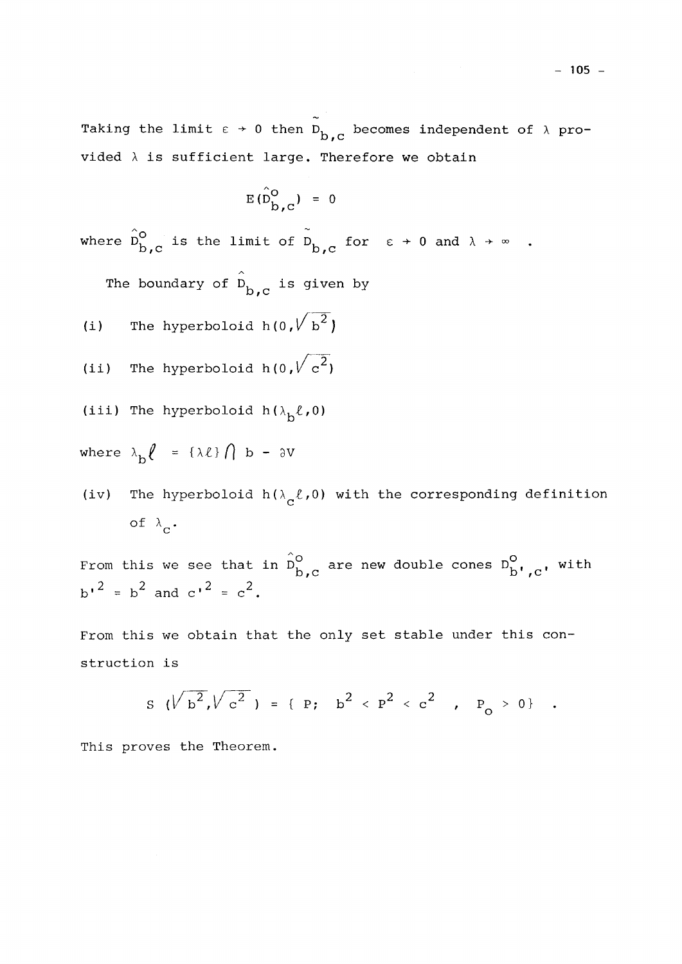Taking the limit  $\varepsilon \rightarrow 0$  then  $\overline{D}_{b,c}$  becomes independent of  $\lambda$  pro-*ID f* c vided X is sufficient large. Therefore we obtain

$$
E(\hat{D}_{\hat{b},c}^{\circ}) = 0
$$

where  $\hat{D}^{\circ}_{b,c}$  is the limit of  $\tilde{D}^{\circ}_{b,c}$  for  $\varepsilon \to 0$  and  $\lambda \to \infty$ .

 $\lambda$ The boundary of D<sub>ber</sub> is given by *sD f* **C** 

(i) The hyperboloid  $h(0, \sqrt{b^2})$ 

(ii) The hyperboloid 
$$
h(0, \sqrt{c^2})
$$

(iii) The hyperboloid  $h(\lambda_b\ell,0)$ 

where  $\lambda_h \ell = {\lambda \ell} \hat{ } \bigcap { } b - 3V$ 

(iv) The hyperboloid  $h(\lambda_c \ell, 0)$  with the corresponding definition of  $\lambda_{\alpha}$ .

From this we see that in D<sub>b a</sub> are new double cones D<sub>b</sub>, <sub>c</sub>, with  $\sim$ ,  $\sim$ ,  $\sim$ ,  $\sim$ ,  $\sim$ ,  $\sim$ ,  $\sim$ ,  $\sim$ ,  $\sim$ ,  $\sim$ ,  $\sim$ ,  $\sim$ ,  $\sim$ ,  $\sim$ ,  $\sim$ ,  $\sim$ ,  $\sim$ ,  $\sim$ ,  $\sim$ ,  $\sim$ ,  $\sim$ ,  $\sim$ ,  $\sim$ ,  $\sim$ ,  $\sim$ ,  $\sim$ ,  $\sim$ ,  $\sim$ ,  $\sim$ ,  $\sim$ ,  $\sim$ ,  $\sim$ ,  $\sim$ ,  $\sim$ ,  $\sim$ ,  $\sim$ ,  $\sim$ ,  $b'$  =  $b^2$  and  $c'$  =  $c^2$ .

From this we obtain that the only set stable under this construction is

$$
S \quad (\sqrt{b^2}, \sqrt{c^2}) = \{ p; \quad b^2 < p^2 < c^2 , \quad P_0 > 0 \} .
$$

This proves the Theorem.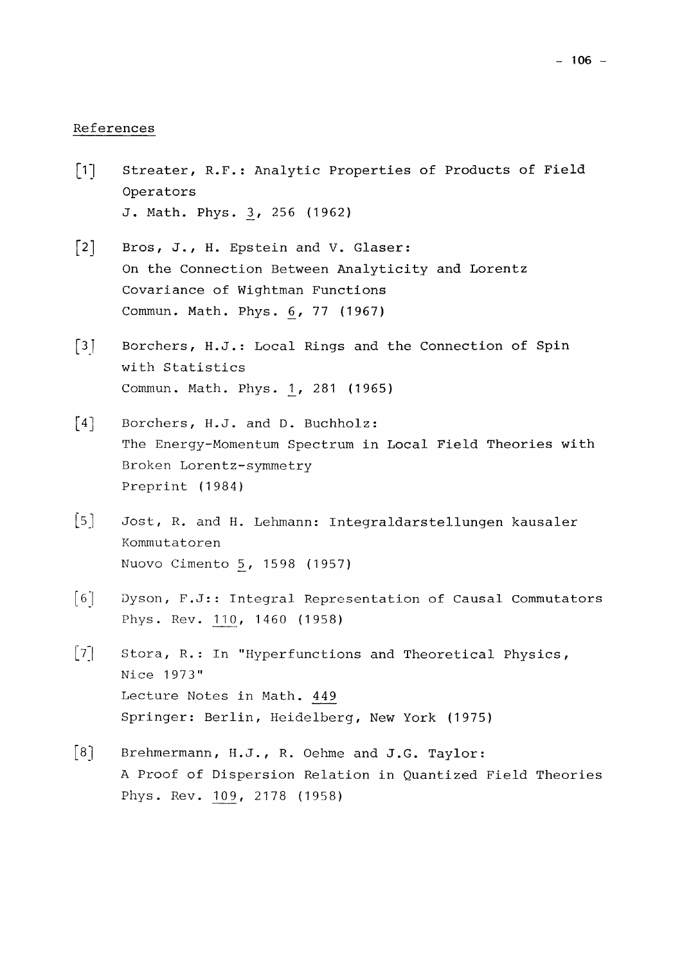### References

- $\lceil 1 \rceil$ Streater, R.F.: Analytic Properties of Products of Field Operators J. Math. Phys. 3, 256 (1962)
- [2] Bros, J., H. Epstein and V. Glaser: On the Connection Between Analyticity and Lorentz Covariance of Wightman Functions Commun. Math. Phys. *6\_,* 77 (1 967)
- [3] Borchers, H.J.: Local Rings and the Connection of Spin with Statistics Commun. Math. Phys. 1, 281 (1965)
- [4] Borchers, H.J. and D. Buchholz: The Energy-Momentum Spectrum in Local Field Theories with Broken Lorentz-symmetry Preprint (1984)
- [5] Jost, R. and H. Lehmann: Integraldarstellungen kausaler Kommutatoren Nuovo Cimento 5, 1598 (1957)
- [6] Dyson, F.J:: Integral Representation of Causal Commutators Phys. Rev. 110, 1460 (1958)
- [7] Stora, R.: In "Hyperfunctions and Theoretical Physics, Nice 1973" Lecture Notes in Math. 449 Springer: Berlin, Heidelberg, New York (1975)
- [8] Brehmermann, H.J., R. Oehme and J.G. Taylor: A Proof of Dispersion Relation in Quantized Field Theories Phys. Rev. 109, 2178 (1958)